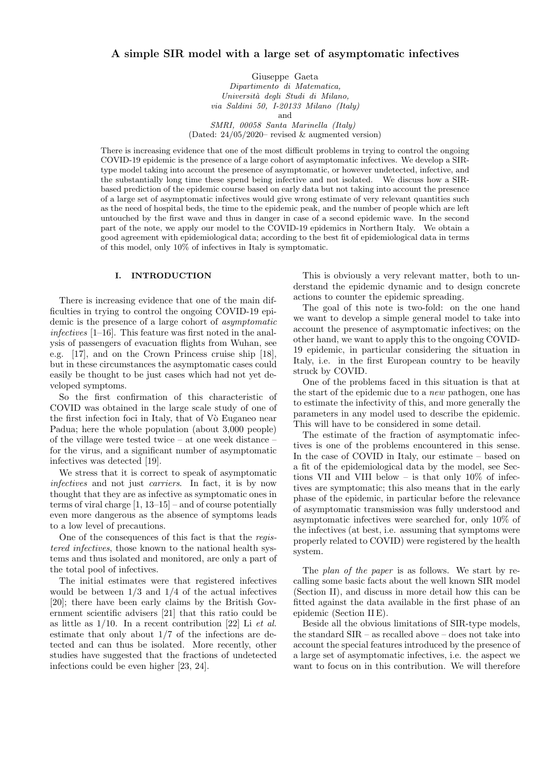# **A simple SIR model with a large set of asymptomatic infectives**

Giuseppe Gaeta *Dipartimento di Matematica, Universit`a degli Studi di Milano, via Saldini 50, I-20133 Milano (Italy)* and *SMRI, 00058 Santa Marinella (Italy)*

(Dated: 24/05/2020– revised & augmented version)

There is increasing evidence that one of the most difficult problems in trying to control the ongoing COVID-19 epidemic is the presence of a large cohort of asymptomatic infectives. We develop a SIRtype model taking into account the presence of asymptomatic, or however undetected, infective, and the substantially long time these spend being infective and not isolated. We discuss how a SIRbased prediction of the epidemic course based on early data but not taking into account the presence of a large set of asymptomatic infectives would give wrong estimate of very relevant quantities such as the need of hospital beds, the time to the epidemic peak, and the number of people which are left untouched by the first wave and thus in danger in case of a second epidemic wave. In the second part of the note, we apply our model to the COVID-19 epidemics in Northern Italy. We obtain a good agreement with epidemiological data; according to the best fit of epidemiological data in terms of this model, only 10% of infectives in Italy is symptomatic.

# **I. INTRODUCTION**

There is increasing evidence that one of the main difficulties in trying to control the ongoing COVID-19 epidemic is the presence of a large cohort of *asymptomatic infectives* [1–16]. This feature was first noted in the analysis of passengers of evacuation flights from Wuhan, see e.g. [17], and on the Crown Princess cruise ship [18], but in these circumstances the asymptomatic cases could easily be thought to be just cases which had not yet developed symptoms.

So the first confirmation of this characteristic of COVID was obtained in the large scale study of one of the first infection foci in Italy, that of Vò Euganeo near Padua; here the whole population (about 3,000 people) of the village were tested twice – at one week distance – for the virus, and a significant number of asymptomatic infectives was detected [19].

We stress that it is correct to speak of asymptomatic *infectives* and not just *carriers*. In fact, it is by now thought that they are as infective as symptomatic ones in terms of viral charge  $[1, 13-15]$  – and of course potentially even more dangerous as the absence of symptoms leads to a low level of precautions.

One of the consequences of this fact is that the *registered infectives*, those known to the national health systems and thus isolated and monitored, are only a part of the total pool of infectives.

The initial estimates were that registered infectives would be between  $1/3$  and  $1/4$  of the actual infectives [20]; there have been early claims by the British Government scientific advisers [21] that this ratio could be as little as 1/10. In a recent contribution [22] Li *et al.* estimate that only about 1/7 of the infections are detected and can thus be isolated. More recently, other studies have suggested that the fractions of undetected infections could be even higher [23, 24].

This is obviously a very relevant matter, both to understand the epidemic dynamic and to design concrete actions to counter the epidemic spreading.

The goal of this note is two-fold: on the one hand we want to develop a simple general model to take into account the presence of asymptomatic infectives; on the other hand, we want to apply this to the ongoing COVID-19 epidemic, in particular considering the situation in Italy, i.e. in the first European country to be heavily struck by COVID.

One of the problems faced in this situation is that at the start of the epidemic due to a *new* pathogen, one has to estimate the infectivity of this, and more generally the parameters in any model used to describe the epidemic. This will have to be considered in some detail.

The estimate of the fraction of asymptomatic infectives is one of the problems encountered in this sense. In the case of COVID in Italy, our estimate – based on a fit of the epidemiological data by the model, see Sections VII and VIII below – is that only  $10\%$  of infectives are symptomatic; this also means that in the early phase of the epidemic, in particular before the relevance of asymptomatic transmission was fully understood and asymptomatic infectives were searched for, only 10% of the infectives (at best, i.e. assuming that symptoms were properly related to COVID) were registered by the health system.

The *plan of the paper* is as follows. We start by recalling some basic facts about the well known SIR model (Section II), and discuss in more detail how this can be fitted against the data available in the first phase of an epidemic (Section II E).

Beside all the obvious limitations of SIR-type models, the standard SIR – as recalled above – does not take into account the special features introduced by the presence of a large set of asymptomatic infectives, i.e. the aspect we want to focus on in this contribution. We will therefore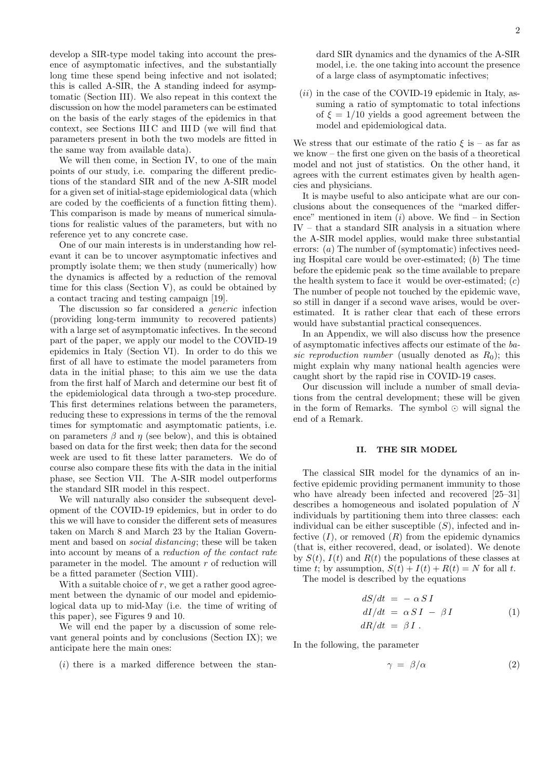develop a SIR-type model taking into account the presence of asymptomatic infectives, and the substantially long time these spend being infective and not isolated; this is called A-SIR, the A standing indeed for asymptomatic (Section III). We also repeat in this context the discussion on how the model parameters can be estimated on the basis of the early stages of the epidemics in that context, see Sections III C and III D (we will find that parameters present in both the two models are fitted in the same way from available data).

We will then come, in Section IV, to one of the main points of our study, i.e. comparing the different predictions of the standard SIR and of the new A-SIR model for a given set of initial-stage epidemiological data (which are coded by the coefficients of a function fitting them). This comparison is made by means of numerical simulations for realistic values of the parameters, but with no reference yet to any concrete case.

One of our main interests is in understanding how relevant it can be to uncover asymptomatic infectives and promptly isolate them; we then study (numerically) how the dynamics is affected by a reduction of the removal time for this class (Section V), as could be obtained by a contact tracing and testing campaign [19].

The discussion so far considered a *generic* infection (providing long-term immunity to recovered patients) with a large set of asymptomatic infectives. In the second part of the paper, we apply our model to the COVID-19 epidemics in Italy (Section VI). In order to do this we first of all have to estimate the model parameters from data in the initial phase; to this aim we use the data from the first half of March and determine our best fit of the epidemiological data through a two-step procedure. This first determines relations between the parameters, reducing these to expressions in terms of the the removal times for symptomatic and asymptomatic patients, i.e. on parameters  $\beta$  and  $\eta$  (see below), and this is obtained based on data for the first week; then data for the second week are used to fit these latter parameters. We do of course also compare these fits with the data in the initial phase, see Section VII. The A-SIR model outperforms the standard SIR model in this respect.

We will naturally also consider the subsequent development of the COVID-19 epidemics, but in order to do this we will have to consider the different sets of measures taken on March 8 and March 23 by the Italian Government and based on *social distancing*; these will be taken into account by means of a *reduction of the contact rate* parameter in the model. The amount *r* of reduction will be a fitted parameter (Section VIII).

With a suitable choice of r, we get a rather good agreement between the dynamic of our model and epidemiological data up to mid-May (i.e. the time of writing of this paper), see Figures 9 and 10.

We will end the paper by a discussion of some relevant general points and by conclusions (Section IX); we anticipate here the main ones:

(*i*) there is a marked difference between the stan-

dard SIR dynamics and the dynamics of the A-SIR model, i.e. the one taking into account the presence of a large class of asymptomatic infectives;

(*ii*) in the case of the COVID-19 epidemic in Italy, assuming a ratio of symptomatic to total infections of  $\xi = 1/10$  yields a good agreement between the model and epidemiological data.

We stress that our estimate of the ratio  $\xi$  is – as far as we know – the first one given on the basis of a theoretical model and not just of statistics. On the other hand, it agrees with the current estimates given by health agencies and physicians.

It is maybe useful to also anticipate what are our conclusions about the consequences of the "marked difference" mentioned in item (*i*) above. We find – in Section IV – that a standard SIR analysis in a situation where the A-SIR model applies, would make three substantial errors: (*a*) The number of (symptomatic) infectives needing Hospital care would be over-estimated; (*b*) The time before the epidemic peak so the time available to prepare the health system to face it would be over-estimated; (*c*) The number of people not touched by the epidemic wave, so still in danger if a second wave arises, would be overestimated. It is rather clear that each of these errors would have substantial practical consequences.

In an Appendix, we will also discuss how the presence of asymptomatic infectives affects our estimate of the *basic reproduction number* (usually denoted as  $R_0$ ); this might explain why many national health agencies were caught short by the rapid rise in COVID-19 cases.

Our discussion will include a number of small deviations from the central development; these will be given in the form of Remarks. The symbol *⊙* will signal the end of a Remark.

# **II. THE SIR MODEL**

The classical SIR model for the dynamics of an infective epidemic providing permanent immunity to those who have already been infected and recovered [25–31] describes a homogeneous and isolated population of *N* individuals by partitioning them into three classes: each individual can be either susceptible (*S*), infected and infective  $(I)$ , or removed  $(R)$  from the epidemic dynamics (that is, either recovered, dead, or isolated). We denote by  $S(t)$ ,  $I(t)$  and  $R(t)$  the populations of these classes at time *t*; by assumption,  $S(t) + I(t) + R(t) = N$  for all *t*.

The model is described by the equations

$$
dS/dt = -\alpha SI
$$
  
\n
$$
dI/dt = \alpha SI - \beta I
$$
  
\n
$$
dR/dt = \beta I.
$$
\n(1)

In the following, the parameter

$$
\gamma = \beta/\alpha \tag{2}
$$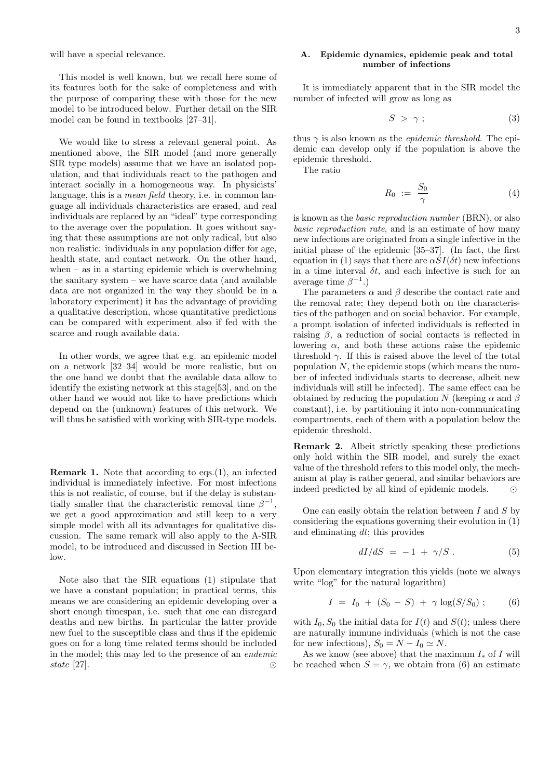will have a special relevance.

This model is well known, but we recall here some of its features both for the sake of completeness and with the purpose of comparing these with those for the new model to be introduced below. Further detail on the SIR model can be found in textbooks [27–31].

We would like to stress a relevant general point. As mentioned above, the SIR model (and more generally SIR type models) assume that we have an isolated population, and that individuals react to the pathogen and interact socially in a homogeneous way. In physicists' language, this is a *mean field* theory, i.e. in common language all individuals characteristics are erased, and real individuals are replaced by an "ideal" type corresponding to the average over the population. It goes without saying that these assumptions are not only radical, but also non realistic: individuals in any population differ for age, health state, and contact network. On the other hand, when – as in a starting epidemic which is overwhelming the sanitary system – we have scarce data (and available data are not organized in the way they should be in a laboratory experiment) it has the advantage of providing a qualitative description, whose quantitative predictions can be compared with experiment also if fed with the scarce and rough available data.

In other words, we agree that e.g. an epidemic model on a network [32–34] would be more realistic, but on the one hand we doubt that the available data allow to identify the existing network at this stage[53], and on the other hand we would not like to have predictions which depend on the (unknown) features of this network. We will thus be satisfied with working with SIR-type models.

**Remark 1.** Note that according to eqs. (1), an infected individual is immediately infective. For most infections this is not realistic, of course, but if the delay is substantially smaller that the characteristic removal time  $\beta^{-1}$ , we get a good approximation and still keep to a very simple model with all its advantages for qualitative discussion. The same remark will also apply to the A-SIR model, to be introduced and discussed in Section III be- $\log$ 

Note also that the SIR equations (1) stipulate that we have a constant population; in practical terms, this means we are considering an epidemic developing over a short enough timespan, i.e. such that one can disregard deaths and new births. In particular the latter provide new fuel to the susceptible class and thus if the epidemic goes on for a long time related terms should be included in the model; this may led to the presence of an *endemic state* [27]. *⊙*

# **A. Epidemic dynamics, epidemic peak and total number of infections**

It is immediately apparent that in the SIR model the number of infected will grow as long as

$$
S \geq \gamma \tag{3}
$$

thus  $\gamma$  is also known as the *epidemic threshold*. The epidemic can develop only if the population is above the epidemic threshold.

The ratio

$$
R_0 \; := \; \frac{S_0}{\gamma} \tag{4}
$$

is known as the *basic reproduction number* (BRN), or also *basic reproduction rate*, and is an estimate of how many new infections are originated from a single infective in the initial phase of the epidemic [35–37]. (In fact, the first equation in (1) says that there are  $\alpha SI(\delta t)$  new infections in a time interval  $\delta t$ , and each infective is such for an average time  $\beta^{-1}$ .)

The parameters  $\alpha$  and  $\beta$  describe the contact rate and the removal rate; they depend both on the characteristics of the pathogen and on social behavior. For example, a prompt isolation of infected individuals is reflected in raising  $\beta$ , a reduction of social contacts is reflected in lowering *α*, and both these actions raise the epidemic threshold  $\gamma$ . If this is raised above the level of the total population *N*, the epidemic stops (which means the number of infected individuals starts to decrease, albeit new individuals will still be infected). The same effect can be obtained by reducing the population *N* (keeping  $\alpha$  and  $\beta$ constant), i.e. by partitioning it into non-communicating compartments, each of them with a population below the epidemic threshold.

**Remark 2.** Albeit strictly speaking these predictions only hold within the SIR model, and surely the exact value of the threshold refers to this model only, the mechanism at play is rather general, and similar behaviors are indeed predicted by all kind of epidemic models. *⊙*

One can easily obtain the relation between *I* and *S* by considering the equations governing their evolution in (1) and eliminating *dt*; this provides

$$
dI/dS = -1 + \gamma/S. \tag{5}
$$

Upon elementary integration this yields (note we always write "log" for the natural logarithm)

$$
I = I_0 + (S_0 - S) + \gamma \log(S/S_0) ; \qquad (6)
$$

with  $I_0$ ,  $S_0$  the initial data for  $I(t)$  and  $S(t)$ ; unless there are naturally immune individuals (which is not the case for new infections),  $S_0 = N - I_0 \simeq N$ .

As we know (see above) that the maximum *I<sup>∗</sup>* of *I* will be reached when  $S = \gamma$ , we obtain from (6) an estimate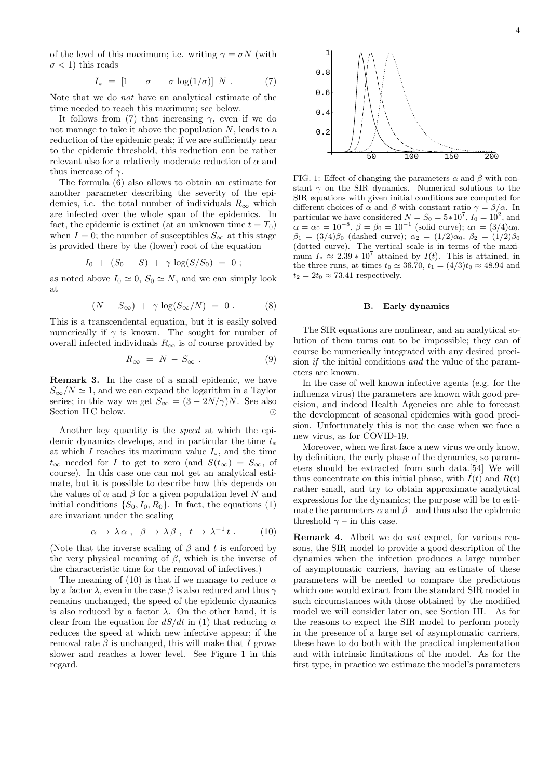of the level of this maximum; i.e. writing  $\gamma = \sigma N$  (with  $\sigma$  < 1) this reads

$$
I_* = [1 - \sigma - \sigma \log(1/\sigma)] N . \qquad (7)
$$

Note that we do *not* have an analytical estimate of the time needed to reach this maximum; see below.

It follows from (7) that increasing  $\gamma$ , even if we do not manage to take it above the population *N*, leads to a reduction of the epidemic peak; if we are sufficiently near to the epidemic threshold, this reduction can be rather relevant also for a relatively moderate reduction of *α* and thus increase of *γ*.

The formula (6) also allows to obtain an estimate for another parameter describing the severity of the epidemics, i.e. the total number of individuals  $R_\infty$  which are infected over the whole span of the epidemics. In fact, the epidemic is extinct (at an unknown time  $t = T_0$ ) when  $I = 0$ ; the number of susceptibles  $S_{\infty}$  at this stage is provided there by the (lower) root of the equation

$$
I_0 + (S_0 - S) + \gamma \log(S/S_0) = 0 ;
$$

as noted above  $I_0 \simeq 0$ ,  $S_0 \simeq N$ , and we can simply look at

$$
(N - S_{\infty}) + \gamma \log(S_{\infty}/N) = 0.
$$
 (8)

This is a transcendental equation, but it is easily solved numerically if  $\gamma$  is known. The sought for number of overall infected individuals  $R_\infty$  is of course provided by

$$
R_{\infty} = N - S_{\infty} . \tag{9}
$$

**Remark 3.** In the case of a small epidemic, we have  $S_{\infty}/N \simeq 1$ , and we can expand the logarithm in a Taylor series; in this way we get  $S_\infty = (3 - 2N/\gamma)N$ . See also<br>Section IIC below. Section II C below.

Another key quantity is the *speed* at which the epidemic dynamics develops, and in particular the time *t<sup>∗</sup>* at which *I* reaches its maximum value *I∗*, and the time  $t_{\infty}$  needed for *I* to get to zero (and  $S(t_{\infty}) = S_{\infty}$ , of course). In this case one can not get an analytical estimate, but it is possible to describe how this depends on the values of  $\alpha$  and  $\beta$  for a given population level *N* and initial conditions  $\{S_0, I_0, R_0\}$ . In fact, the equations (1) are invariant under the scaling

$$
\alpha \to \lambda \alpha \ , \ \beta \to \lambda \beta \ , \ t \to \lambda^{-1} t \ . \tag{10}
$$

(Note that the inverse scaling of *β* and *t* is enforced by the very physical meaning of *β*, which is the inverse of the characteristic time for the removal of infectives.)

The meaning of  $(10)$  is that if we manage to reduce  $\alpha$ by a factor  $\lambda$ , even in the case  $\beta$  is also reduced and thus  $\gamma$ remains unchanged, the speed of the epidemic dynamics is also reduced by a factor  $\lambda$ . On the other hand, it is clear from the equation for  $dS/dt$  in (1) that reducing  $\alpha$ reduces the speed at which new infective appear; if the removal rate  $\beta$  is unchanged, this will make that *I* grows slower and reaches a lower level. See Figure 1 in this regard.



FIG. 1: Effect of changing the parameters  $\alpha$  and  $\beta$  with constant  $\gamma$  on the SIR dynamics. Numerical solutions to the SIR equations with given initial conditions are computed for different choices of  $\alpha$  and  $\beta$  with constant ratio  $\gamma = \beta/\alpha$ . In particular we have considered  $N = S_0 = 5*10^7$ ,  $I_0 = 10^2$ , and  $\alpha = \alpha_0 = 10^{-8}, \ \beta = \beta_0 = 10^{-1}$  (solid curve);  $\alpha_1 = (3/4)\alpha_0$ , *β*<sub>1</sub> = (3/4)*β*<sub>0</sub> (dashed curve);  $\alpha_2 = (1/2)\alpha_0$ ,  $\beta_2 = (1/2)\beta_0$ (dotted curve). The vertical scale is in terms of the maximum  $I_* \approx 2.39 * 10^7$  attained by  $I(t)$ . This is attained, in the three runs, at times *t*<sub>0</sub>  $\simeq$  36.70, *t*<sub>1</sub> = (4/3)*t*<sub>0</sub> ≈ 48.94 and  $t_2 = 2t_0 \approx 73.41$  respectively.

#### **B. Early dynamics**

The SIR equations are nonlinear, and an analytical solution of them turns out to be impossible; they can of course be numerically integrated with any desired precision *if* the initial conditions *and* the value of the parameters are known.

In the case of well known infective agents (e.g. for the influenza virus) the parameters are known with good precision, and indeed Health Agencies are able to forecast the development of seasonal epidemics with good precision. Unfortunately this is not the case when we face a new virus, as for COVID-19.

Moreover, when we first face a new virus we only know, by definition, the early phase of the dynamics, so parameters should be extracted from such data.[54] We will thus concentrate on this initial phase, with  $I(t)$  and  $R(t)$ rather small, and try to obtain approximate analytical expressions for the dynamics; the purpose will be to estimate the parameters  $\alpha$  and  $\beta$  – and thus also the epidemic threshold  $\gamma$  – in this case.

**Remark 4.** Albeit we do *not* expect, for various reasons, the SIR model to provide a good description of the dynamics when the infection produces a large number of asymptomatic carriers, having an estimate of these parameters will be needed to compare the predictions which one would extract from the standard SIR model in such circumstances with those obtained by the modified model we will consider later on, see Section III. As for the reasons to expect the SIR model to perform poorly in the presence of a large set of asymptomatic carriers, these have to do both with the practical implementation and with intrinsic limitations of the model. As for the first type, in practice we estimate the model's parameters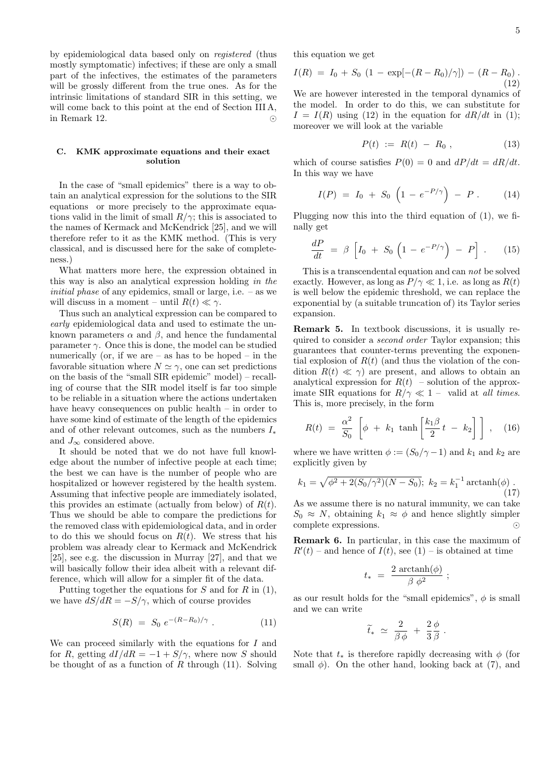5

by epidemiological data based only on *registered* (thus mostly symptomatic) infectives; if these are only a small part of the infectives, the estimates of the parameters will be grossly different from the true ones. As for the intrinsic limitations of standard SIR in this setting, we will come back to this point at the end of Section III A, in Remark 12. *⊙*

## **C. KMK approximate equations and their exact solution**

In the case of "small epidemics" there is a way to obtain an analytical expression for the solutions to the SIR equations or more precisely to the approximate equations valid in the limit of small  $R/\gamma$ ; this is associated to the names of Kermack and McKendrick [25], and we will therefore refer to it as the KMK method. (This is very classical, and is discussed here for the sake of completeness.)

What matters more here, the expression obtained in this way is also an analytical expression holding *in the initial phase* of any epidemics, small or large, i.e. – as we will discuss in a moment – until  $R(t) \ll \gamma$ .

Thus such an analytical expression can be compared to *early* epidemiological data and used to estimate the unknown parameters  $\alpha$  and  $\beta$ , and hence the fundamental parameter  $\gamma$ . Once this is done, the model can be studied numerically (or, if we are  $-$  as has to be hoped  $-$  in the favorable situation where  $N \simeq \gamma$ , one can set predictions on the basis of the "small SIR epidemic" model) – recalling of course that the SIR model itself is far too simple to be reliable in a situation where the actions undertaken have heavy consequences on public health – in order to have some kind of estimate of the length of the epidemics and of other relevant outcomes, such as the numbers *I<sup>∗</sup>* and  $J_{\infty}$  considered above.

It should be noted that we do not have full knowledge about the number of infective people at each time; the best we can have is the number of people who are hospitalized or however registered by the health system. Assuming that infective people are immediately isolated, this provides an estimate (actually from below) of *R*(*t*). Thus we should be able to compare the predictions for the removed class with epidemiological data, and in order to do this we should focus on  $R(t)$ . We stress that his problem was already clear to Kermack and McKendrick [25], see e.g. the discussion in Murray [27], and that we will basically follow their idea albeit with a relevant difference, which will allow for a simpler fit of the data.

Putting together the equations for *S* and for *R* in (1), we have  $dS/dR = -S/\gamma$ , which of course provides

$$
S(R) = S_0 e^{-(R - R_0)/\gamma} . \tag{11}
$$

We can proceed similarly with the equations for *I* and for *R*, getting  $dI/dR = -1 + S/\gamma$ , where now *S* should be thought of as a function of *R* through (11). Solving this equation we get

$$
I(R) = I_0 + S_0 (1 - \exp[-(R - R_0)/\gamma]) - (R - R_0).
$$
\n(12)

We are however interested in the temporal dynamics of the model. In order to do this, we can substitute for  $I = I(R)$  using (12) in the equation for  $dR/dt$  in (1); moreover we will look at the variable

$$
P(t) := R(t) - R_0 , \qquad (13)
$$

which of course satisfies  $P(0) = 0$  and  $dP/dt = dR/dt$ . In this way we have

$$
I(P) = I_0 + S_0 \left( 1 - e^{-P/\gamma} \right) - P \ . \tag{14}
$$

Plugging now this into the third equation of (1), we finally get

$$
\frac{dP}{dt} = \beta \left[ I_0 + S_0 \left( 1 - e^{-P/\gamma} \right) - P \right]. \tag{15}
$$

This is a transcendental equation and can *not* be solved exactly. However, as long as  $P/\gamma \ll 1$ , i.e. as long as  $R(t)$ is well below the epidemic threshold, we can replace the exponential by (a suitable truncation of) its Taylor series expansion.

**Remark 5.** In textbook discussions, it is usually required to consider a *second order* Taylor expansion; this guarantees that counter-terms preventing the exponential explosion of  $R(t)$  (and thus the violation of the condition  $R(t) \ll \gamma$  are present, and allows to obtain an analytical expression for  $R(t)$  – solution of the approximate SIR equations for  $R/\gamma \ll 1$  – valid at *all times*. This is, more precisely, in the form

$$
R(t) = \frac{\alpha^2}{S_0} \left[ \phi + k_1 \tanh \left[ \frac{k_1 \beta}{2} t - k_2 \right] \right], \quad (16)
$$

where we have written  $\phi := (S_0/\gamma - 1)$  and  $k_1$  and  $k_2$  are explicitly given by

$$
k_1 = \sqrt{\phi^2 + 2(S_0/\gamma^2)(N - S_0)}; \ k_2 = k_1^{-1} \operatorname{arctanh}(\phi) \tag{17}
$$

As we assume there is no natural immunity, we can take  $S_0 \approx N$ , obtaining  $k_1 \approx \phi$  and hence slightly simpler complete expressions. *⊙*

**Remark 6.** In particular, in this case the maximum of  $R'(t)$  – and hence of  $I(t)$ , see (1) – is obtained at time

$$
t_* = \frac{2 \, \arctanh(\phi)}{\beta \, \phi^2} \; ;
$$

as our result holds for the "small epidemics",  $\phi$  is small and we can write

$$
\widetilde{t}_* \ \simeq \ \frac{2}{\beta \phi} \ + \ \frac{2}{3} \frac{\phi}{\beta} \ .
$$

Note that  $t_*$  is therefore rapidly decreasing with  $\phi$  (for small  $\phi$ ). On the other hand, looking back at (7), and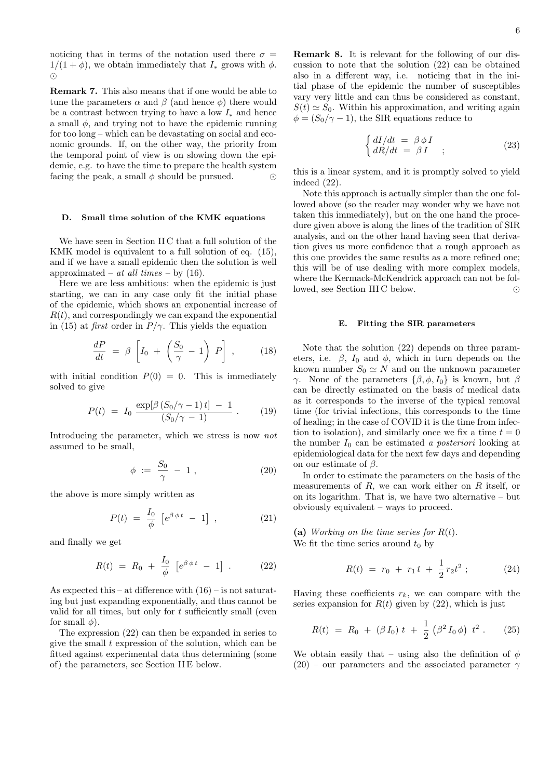noticing that in terms of the notation used there  $\sigma =$  $1/(1 + \phi)$ , we obtain immediately that  $I_*$  grows with  $\phi$ . *⊙*

**Remark 7.** This also means that if one would be able to tune the parameters  $\alpha$  and  $\beta$  (and hence  $\phi$ ) there would be a contrast between trying to have a low *I<sup>∗</sup>* and hence a small  $\phi$ , and trying not to have the epidemic running for too long – which can be devastating on social and economic grounds. If, on the other way, the priority from the temporal point of view is on slowing down the epidemic, e.g. to have the time to prepare the health system facing the peak, a small  $\phi$  should be pursued.  $\odot$ 

### **D. Small time solution of the KMK equations**

We have seen in Section II C that a full solution of the KMK model is equivalent to a full solution of eq. (15), and if we have a small epidemic then the solution is well approximated – *at all times* – by (16).

Here we are less ambitious: when the epidemic is just starting, we can in any case only fit the initial phase of the epidemic, which shows an exponential increase of  $R(t)$ , and correspondingly we can expand the exponential in (15) at *first* order in  $P/\gamma$ . This yields the equation

$$
\frac{dP}{dt} = \beta \left[ I_0 + \left( \frac{S_0}{\gamma} - 1 \right) P \right], \quad (18)
$$

with initial condition  $P(0) = 0$ . This is immediately solved to give

$$
P(t) = I_0 \frac{\exp[\beta (S_0/\gamma - 1) t] - 1}{(S_0/\gamma - 1)} . \tag{19}
$$

Introducing the parameter, which we stress is now *not* assumed to be small,

$$
\phi \; := \; \frac{S_0}{\gamma} \; - \; 1 \; , \tag{20}
$$

the above is more simply written as

$$
P(t) = \frac{I_0}{\phi} \left[ e^{\beta \phi t} - 1 \right] , \qquad (21)
$$

and finally we get

$$
R(t) = R_0 + \frac{I_0}{\phi} \left[ e^{\beta \phi t} - 1 \right] . \tag{22}
$$

As expected this – at difference with  $(16)$  – is not saturating but just expanding exponentially, and thus cannot be valid for all times, but only for *t* sufficiently small (even for small  $\phi$ ).

The expression (22) can then be expanded in series to give the small *t* expression of the solution, which can be fitted against experimental data thus determining (some of) the parameters, see Section II E below.

**Remark 8.** It is relevant for the following of our discussion to note that the solution (22) can be obtained also in a different way, i.e. noticing that in the initial phase of the epidemic the number of susceptibles vary very little and can thus be considered as constant,  $S(t) \simeq S_0$ . Within his approximation, and writing again  $\phi = (S_0/\gamma - 1)$ , the SIR equations reduce to

$$
\begin{cases}\n dI/dt = \beta \phi I \\
dR/dt = \beta I\n\end{cases} ;
$$
\n(23)

this is a linear system, and it is promptly solved to yield indeed (22).

Note this approach is actually simpler than the one followed above (so the reader may wonder why we have not taken this immediately), but on the one hand the procedure given above is along the lines of the tradition of SIR analysis, and on the other hand having seen that derivation gives us more confidence that a rough approach as this one provides the same results as a more refined one; this will be of use dealing with more complex models, where the Kermack-McKendrick approach can not be followed, see Section III C below. *⊙*

#### **E. Fitting the SIR parameters**

Note that the solution (22) depends on three parameters, i.e.  $\beta$ ,  $I_0$  and  $\phi$ , which in turn depends on the known number  $S_0 \simeq N$  and on the unknown parameter *γ*. None of the parameters  $\{\beta, \phi, I_0\}$  is known, but *β* can be directly estimated on the basis of medical data as it corresponds to the inverse of the typical removal time (for trivial infections, this corresponds to the time of healing; in the case of COVID it is the time from infection to isolation), and similarly once we fix a time  $t = 0$ the number  $I_0$  can be estimated *a posteriori* looking at epidemiological data for the next few days and depending on our estimate of *β*.

In order to estimate the parameters on the basis of the measurements of *R*, we can work either on *R* itself, or on its logarithm. That is, we have two alternative – but obviously equivalent – ways to proceed.

**(a)** *Working on the time series for R*(*t*). We fit the time series around  $t_0$  by

$$
R(t) = r_0 + r_1 t + \frac{1}{2} r_2 t^2 ; \qquad (24)
$$

Having these coefficients  $r_k$ , we can compare with the series expansion for  $R(t)$  given by  $(22)$ , which is just

$$
R(t) = R_0 + (\beta I_0) t + \frac{1}{2} (\beta^2 I_0 \phi) t^2.
$$
 (25)

We obtain easily that – using also the definition of  $\phi$  $(20)$  – our parameters and the associated parameter  $\gamma$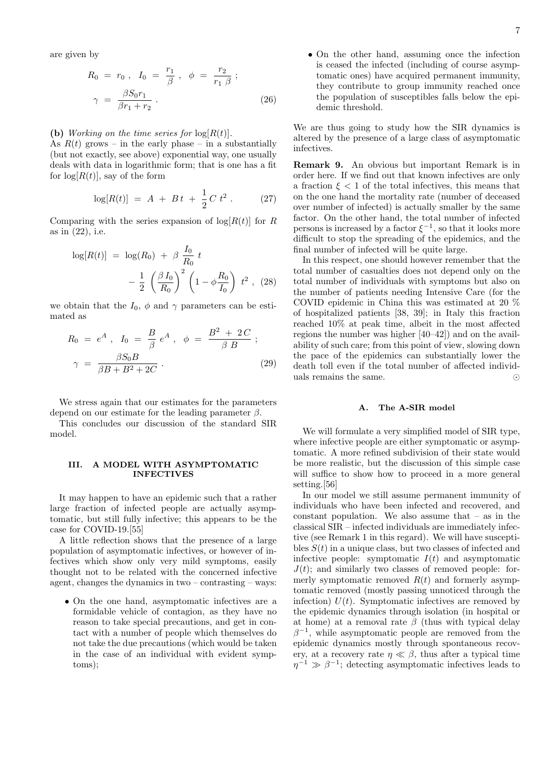are given by

$$
R_0 = r_0, I_0 = \frac{r_1}{\beta}, \phi = \frac{r_2}{r_1 \beta};
$$
  

$$
\gamma = \frac{\beta S_0 r_1}{\beta r_1 + r_2}.
$$
 (26)

#### **(b)** *Working on the time series for*  $log(R(t))$ *.*

As  $R(t)$  grows – in the early phase – in a substantially (but not exactly, see above) exponential way, one usually deals with data in logarithmic form; that is one has a fit for  $log[R(t)]$ , say of the form

$$
\log[R(t)] = A + Bt + \frac{1}{2}C t^2.
$$
 (27)

Comparing with the series expansion of  $\log[R(t)]$  for *R* as in (22), i.e.

$$
\log[R(t)] = \log(R_0) + \beta \frac{I_0}{R_0} t - \frac{1}{2} \left( \frac{\beta I_0}{R_0} \right)^2 \left( 1 - \phi \frac{R_0}{I_0} \right) t^2 , \quad (28)
$$

we obtain that the  $I_0$ ,  $\phi$  and  $\gamma$  parameters can be estimated as

$$
R_0 = e^A , I_0 = \frac{B}{\beta} e^A , \phi = \frac{B^2 + 2C}{\beta B} ;
$$
  

$$
\gamma = \frac{\beta S_0 B}{\beta B + B^2 + 2C} .
$$
 (29)

We stress again that our estimates for the parameters depend on our estimate for the leading parameter *β*.

This concludes our discussion of the standard SIR model.

# **III. A MODEL WITH ASYMPTOMATIC INFECTIVES**

It may happen to have an epidemic such that a rather large fraction of infected people are actually asymptomatic, but still fully infective; this appears to be the case for COVID-19.[55]

A little reflection shows that the presence of a large population of asymptomatic infectives, or however of infectives which show only very mild symptoms, easily thought not to be related with the concerned infective agent, changes the dynamics in two – contrasting – ways:

• On the one hand, asymptomatic infectives are a formidable vehicle of contagion, as they have no reason to take special precautions, and get in contact with a number of people which themselves do not take the due precautions (which would be taken in the case of an individual with evident symptoms);

• On the other hand, assuming once the infection is ceased the infected (including of course asymptomatic ones) have acquired permanent immunity, they contribute to group immunity reached once the population of susceptibles falls below the epidemic threshold.

We are thus going to study how the SIR dynamics is altered by the presence of a large class of asymptomatic infectives.

**Remark 9.** An obvious but important Remark is in order here. If we find out that known infectives are only a fraction  $\xi$  < 1 of the total infectives, this means that on the one hand the mortality rate (number of deceased over number of infected) is actually smaller by the same factor. On the other hand, the total number of infected persons is increased by a factor  $\xi^{-1}$ , so that it looks more difficult to stop the spreading of the epidemics, and the final number of infected will be quite large.

In this respect, one should however remember that the total number of casualties does not depend only on the total number of individuals with symptoms but also on the number of patients needing Intensive Care (for the COVID epidemic in China this was estimated at 20 % of hospitalized patients [38, 39]; in Italy this fraction reached 10% at peak time, albeit in the most affected regions the number was higher [40–42]) and on the availability of such care; from this point of view, slowing down the pace of the epidemics can substantially lower the death toll even if the total number of affected individuals remains the same. *⊙*

#### **A. The A-SIR model**

We will formulate a very simplified model of SIR type, where infective people are either symptomatic or asymptomatic. A more refined subdivision of their state would be more realistic, but the discussion of this simple case will suffice to show how to proceed in a more general setting.[56]

In our model we still assume permanent immunity of individuals who have been infected and recovered, and constant population. We also assume that – as in the classical SIR – infected individuals are immediately infective (see Remark 1 in this regard). We will have susceptibles *S*(*t*) in a unique class, but two classes of infected and infective people: symptomatic  $I(t)$  and asymptomatic  $J(t)$ ; and similarly two classes of removed people: formerly symptomatic removed  $R(t)$  and formerly asymptomatic removed (mostly passing unnoticed through the infection)  $U(t)$ . Symptomatic infectives are removed by the epidemic dynamics through isolation (in hospital or at home) at a removal rate  $\beta$  (thus with typical delay  $\beta^{-1}$ , while asymptomatic people are removed from the epidemic dynamics mostly through spontaneous recovery, at a recovery rate  $\eta \ll \beta$ , thus after a typical time  $\eta^{-1} \gg \beta^{-1}$ ; detecting asymptomatic infectives leads to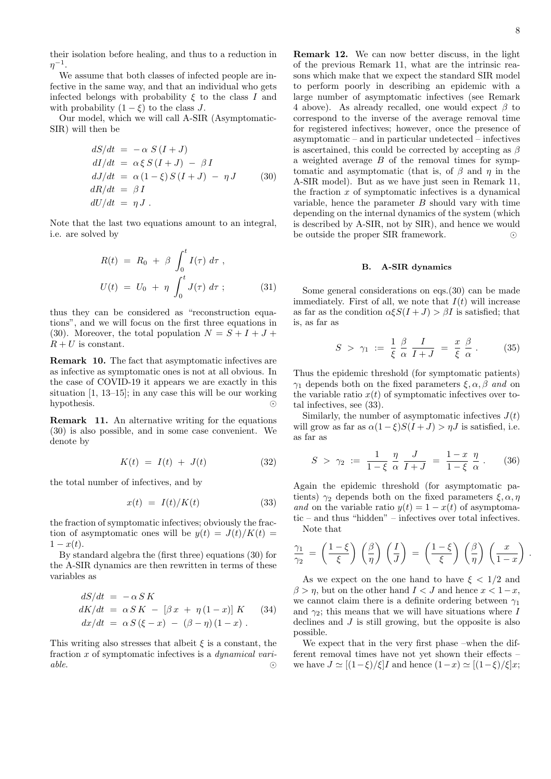their isolation before healing, and thus to a reduction in *η −*1 .

We assume that both classes of infected people are infective in the same way, and that an individual who gets infected belongs with probability  $\xi$  to the class  $I$  and with probability  $(1 - \xi)$  to the class *J*.

Our model, which we will call A-SIR (Asymptomatic-SIR) will then be

$$
dS/dt = -\alpha S(I+J)
$$
  
\n
$$
dI/dt = \alpha \xi S(I+J) - \beta I
$$
  
\n
$$
dJ/dt = \alpha (1-\xi) S(I+J) - \eta J
$$
 (30)  
\n
$$
dR/dt = \beta I
$$
  
\n
$$
dU/dt = \eta J.
$$

Note that the last two equations amount to an integral, i.e. are solved by

$$
R(t) = R_0 + \beta \int_0^t I(\tau) d\tau,
$$
  

$$
U(t) = U_0 + \eta \int_0^t J(\tau) d\tau;
$$
 (31)

thus they can be considered as "reconstruction equations", and we will focus on the first three equations in (30). Moreover, the total population  $N = S + I + J +$  $R + U$  is constant.

**Remark 10.** The fact that asymptomatic infectives are as infective as symptomatic ones is not at all obvious. In the case of COVID-19 it appears we are exactly in this situation [1, 13–15]; in any case this will be our working hypothesis. *⊙*

**Remark 11.** An alternative writing for the equations (30) is also possible, and in some case convenient. We denote by

$$
K(t) = I(t) + J(t) \tag{32}
$$

the total number of infectives, and by

$$
x(t) = I(t)/K(t) \tag{33}
$$

the fraction of symptomatic infectives; obviously the fraction of asymptomatic ones will be  $y(t) = J(t)/K(t)$  $1 - x(t)$ .

By standard algebra the (first three) equations (30) for the A-SIR dynamics are then rewritten in terms of these variables as

$$
dS/dt = -\alpha SK
$$
  
\n
$$
dK/dt = \alpha SK - [\beta x + \eta (1 - x)] K
$$
 (34)  
\n
$$
dx/dt = \alpha S (\xi - x) - (\beta - \eta) (1 - x).
$$

This writing also stresses that albeit  $\xi$  is a constant, the fraction *x* of symptomatic infectives is a *dynamical variable*. *⊙*

**Remark 12.** We can now better discuss, in the light of the previous Remark 11, what are the intrinsic reasons which make that we expect the standard SIR model to perform poorly in describing an epidemic with a large number of asymptomatic infectives (see Remark 4 above). As already recalled, one would expect *β* to correspond to the inverse of the average removal time for registered infectives; however, once the presence of asymptomatic – and in particular undetected – infectives is ascertained, this could be corrected by accepting as *β* a weighted average *B* of the removal times for symptomatic and asymptomatic (that is, of *β* and *η* in the A-SIR model). But as we have just seen in Remark 11, the fraction *x* of symptomatic infectives is a dynamical variable, hence the parameter *B* should vary with time depending on the internal dynamics of the system (which is described by A-SIR, not by SIR), and hence we would be outside the proper SIR framework. *⊙*

## **B. A-SIR dynamics**

Some general considerations on eqs. (30) can be made immediately. First of all, we note that  $I(t)$  will increase as far as the condition  $\alpha \xi S(I+J) > \beta I$  is satisfied; that is, as far as

$$
S \ > \ \gamma_1 \ := \ \frac{1}{\xi} \; \frac{\beta}{\alpha} \; \frac{I}{I+J} \ = \ \frac{x}{\xi} \; \frac{\beta}{\alpha} \; . \tag{35}
$$

Thus the epidemic threshold (for symptomatic patients) *γ*<sup>1</sup> depends both on the fixed parameters *ξ, α, β and* on the variable ratio  $x(t)$  of symptomatic infectives over total infectives, see (33).

Similarly, the number of asymptomatic infectives  $J(t)$ will grow as far as  $\alpha(1-\xi)S(I+J) > \eta J$  is satisfied, i.e. as far as

$$
S \ > \ \gamma_2 \ := \ \frac{1}{1-\xi} \ \frac{\eta}{\alpha} \ \frac{J}{I+J} \ = \ \frac{1-x}{1-\xi} \ \frac{\eta}{\alpha} \ . \tag{36}
$$

Again the epidemic threshold (for asymptomatic patients)  $\gamma_2$  depends both on the fixed parameters  $\xi, \alpha, \eta$ *and* on the variable ratio  $y(t) = 1 - x(t)$  of asymptomatic – and thus "hidden" – infectives over total infectives. Note that

$$
\frac{\gamma_1}{\gamma_2} = \left(\frac{1-\xi}{\xi}\right) \left(\frac{\beta}{\eta}\right) \left(\frac{I}{J}\right) = \left(\frac{1-\xi}{\xi}\right) \left(\frac{\beta}{\eta}\right) \left(\frac{x}{1-x}\right)
$$

As we expect on the one hand to have  $\xi < 1/2$  and  $\beta > \eta$ , but on the other hand  $I < J$  and hence  $x < 1-x$ , we cannot claim there is a definite ordering between *γ*<sup>1</sup> and  $\gamma_2$ ; this means that we will have situations where *I* declines and *J* is still growing, but the opposite is also possible.

We expect that in the very first phase –when the different removal times have not yet shown their effects – we have  $J \simeq [(1-\xi)/\xi]I$  and hence  $(1-x) \simeq [(1-\xi)/\xi]x$ ; *.*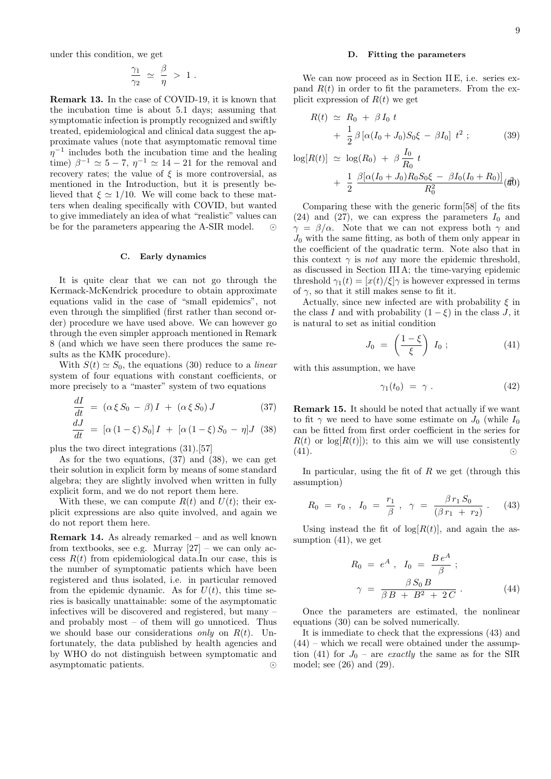under this condition, we get

$$
\frac{\gamma_1}{\gamma_2} \; \simeq \; \frac{\beta}{\eta} \; > \; 1 \; .
$$

**Remark 13.** In the case of COVID-19, it is known that the incubation time is about 5*.*1 days; assuming that symptomatic infection is promptly recognized and swiftly treated, epidemiological and clinical data suggest the approximate values (note that asymptomatic removal time *η*<sup>−1</sup> includes both the incubation time and the healing time)  $\beta^{-1} \simeq 5 - 7$ ,  $\eta^{-1} \simeq 14 - 21$  for the removal and recovery rates; the value of  $\xi$  is more controversial, as mentioned in the Introduction, but it is presently believed that  $\xi \simeq 1/10$ . We will come back to these matters when dealing specifically with COVID, but wanted to give immediately an idea of what "realistic" values can be for the parameters appearing the A-SIR model. *⊙*

# **C. Early dynamics**

It is quite clear that we can not go through the Kermack-McKendrick procedure to obtain approximate equations valid in the case of "small epidemics", not even through the simplified (first rather than second order) procedure we have used above. We can however go through the even simpler approach mentioned in Remark 8 (and which we have seen there produces the same results as the KMK procedure).

With  $S(t) \simeq S_0$ , the equations (30) reduce to a *linear* system of four equations with constant coefficients, or more precisely to a "master" system of two equations

$$
\frac{dI}{dt} = (\alpha \xi S_0 - \beta) I + (\alpha \xi S_0) J \tag{37}
$$

$$
\frac{dJ}{dt} = [\alpha (1 - \xi) S_0] I + [\alpha (1 - \xi) S_0 - \eta] J \quad (38)
$$

plus the two direct integrations (31).[57]

As for the two equations, (37) and (38), we can get their solution in explicit form by means of some standard algebra; they are slightly involved when written in fully explicit form, and we do not report them here.

With these, we can compute  $R(t)$  and  $U(t)$ ; their explicit expressions are also quite involved, and again we do not report them here.

**Remark 14.** As already remarked – and as well known from textbooks, see e.g. Murray  $[27]$  – we can only access  $R(t)$  from epidemiological data.In our case, this is the number of symptomatic patients which have been registered and thus isolated, i.e. in particular removed from the epidemic dynamic. As for  $U(t)$ , this time series is basically unattainable: some of the asymptomatic infectives will be discovered and registered, but many – and probably most – of them will go unnoticed. Thus we should base our considerations *only* on *R*(*t*). Unfortunately, the data published by health agencies and by WHO do not distinguish between symptomatic and asymptomatic patients. *⊙*

# **D. Fitting the parameters**

We can now proceed as in Section II E, i.e. series expand  $R(t)$  in order to fit the parameters. From the explicit expression of  $R(t)$  we get

$$
R(t) \simeq R_0 + \beta I_0 t + \frac{1}{2} \beta [\alpha (I_0 + J_0) S_0 \xi - \beta I_0] t^2 ; \qquad (39)
$$

$$
\log[R(t)] \simeq \log(R_0) + \beta \frac{I_0}{R_0} t + \frac{1}{2} \frac{\beta[\alpha(I_0 + J_0)R_0S_0\xi - \beta I_0(I_0 + R_0)]}{R_0^2} (t_0^2)
$$

Comparing these with the generic form[58] of the fits  $(24)$  and  $(27)$ , we can express the parameters  $I_0$  and *γ* = *β/α*. Note that we can not express both *γ* and  $J_0$  with the same fitting, as both of them only appear in the coefficient of the quadratic term. Note also that in this context  $\gamma$  is *not* any more the epidemic threshold, as discussed in Section III A; the time-varying epidemic threshold  $\gamma_1(t) = \frac{x(t)}{\xi}$  is however expressed in terms of  $\gamma$ , so that it still makes sense to fit it.

Actually, since new infected are with probability *ξ* in the class *I* and with probability  $(1 - \xi)$  in the class *J*, it is natural to set as initial condition

$$
J_0 = \left(\frac{1-\xi}{\xi}\right) I_0 ; \qquad (41)
$$

with this assumption, we have

$$
\gamma_1(t_0) = \gamma \ . \tag{42}
$$

**Remark 15.** It should be noted that actually if we want to fit  $\gamma$  we need to have some estimate on  $J_0$  (while  $I_0$ can be fitted from first order coefficient in the series for  $R(t)$  or  $\log(R(t))$ ; to this aim we will use consistently (41). *⊙*

In particular, using the fit of *R* we get (through this assumption)

$$
R_0 = r_0 \, , \quad I_0 = \frac{r_1}{\beta} \, , \quad \gamma = \frac{\beta \, r_1 \, S_0}{(\beta \, r_1 \, + \, r_2)} \, . \tag{43}
$$

Using instead the fit of  $log[R(t)]$ , and again the assumption (41), we get

$$
R_0 = e^A , I_0 = \frac{Be^A}{\beta} ;
$$
  

$$
\gamma = \frac{\beta S_0 B}{\beta B + B^2 + 2C} .
$$
 (44)

Once the parameters are estimated, the nonlinear equations (30) can be solved numerically.

It is immediate to check that the expressions (43) and  $(44)$  – which we recall were obtained under the assumption (41) for  $J_0$  – are *exactly* the same as for the SIR model; see (26) and (29).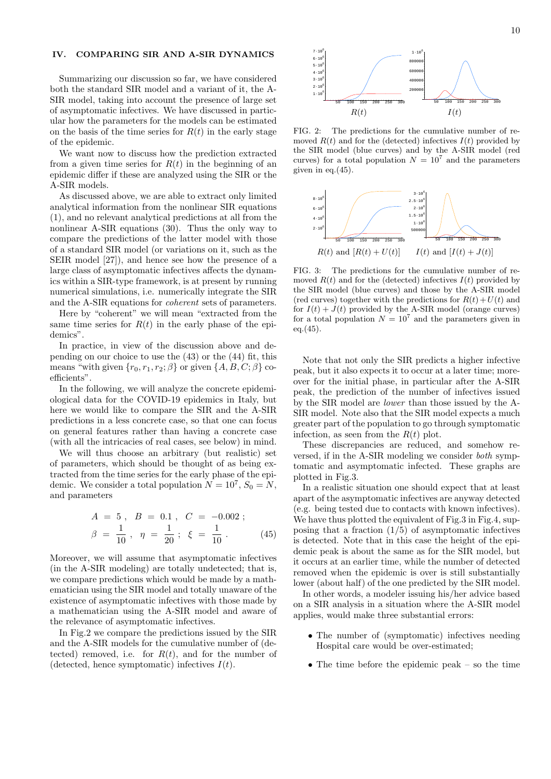# **IV. COMPARING SIR AND A-SIR DYNAMICS**

Summarizing our discussion so far, we have considered both the standard SIR model and a variant of it, the A-SIR model, taking into account the presence of large set of asymptomatic infectives. We have discussed in particular how the parameters for the models can be estimated on the basis of the time series for  $R(t)$  in the early stage of the epidemic.

We want now to discuss how the prediction extracted from a given time series for  $R(t)$  in the beginning of an epidemic differ if these are analyzed using the SIR or the A-SIR models.

As discussed above, we are able to extract only limited analytical information from the nonlinear SIR equations (1), and no relevant analytical predictions at all from the nonlinear A-SIR equations (30). Thus the only way to compare the predictions of the latter model with those of a standard SIR model (or variations on it, such as the SEIR model [27]), and hence see how the presence of a large class of asymptomatic infectives affects the dynamics within a SIR-type framework, is at present by running numerical simulations, i.e. numerically integrate the SIR and the A-SIR equations for *coherent* sets of parameters.

Here by "coherent" we will mean "extracted from the same time series for  $R(t)$  in the early phase of the epidemics".

In practice, in view of the discussion above and depending on our choice to use the (43) or the (44) fit, this means "with given  $\{r_0, r_1, r_2; \beta\}$  or given  $\{A, B, C; \beta\}$  coefficients".

In the following, we will analyze the concrete epidemiological data for the COVID-19 epidemics in Italy, but here we would like to compare the SIR and the A-SIR predictions in a less concrete case, so that one can focus on general features rather than having a concrete case (with all the intricacies of real cases, see below) in mind.

We will thus choose an arbitrary (but realistic) set of parameters, which should be thought of as being extracted from the time series for the early phase of the epidemic. We consider a total population  $N = 10^7$ ,  $S_0 = N$ , and parameters

$$
A = 5, B = 0.1, C = -0.002 ;
$$
  

$$
\beta = \frac{1}{10}, \eta = \frac{1}{20} ; \xi = \frac{1}{10} .
$$
 (45)

Moreover, we will assume that asymptomatic infectives (in the A-SIR modeling) are totally undetected; that is, we compare predictions which would be made by a mathematician using the SIR model and totally unaware of the existence of asymptomatic infectives with those made by a mathematician using the A-SIR model and aware of the relevance of asymptomatic infectives.

In Fig.2 we compare the predictions issued by the SIR and the A-SIR models for the cumulative number of (detected) removed, i.e. for  $R(t)$ , and for the number of (detected, hence symptomatic) infectives *I*(*t*).



FIG. 2: The predictions for the cumulative number of removed  $R(t)$  and for the (detected) infectives  $I(t)$  provided by the SIR model (blue curves) and by the A-SIR model (red curves) for a total population  $N = 10^7$  and the parameters given in eq. $(45)$ .



FIG. 3: The predictions for the cumulative number of removed  $R(t)$  and for the (detected) infectives  $I(t)$  provided by the SIR model (blue curves) and those by the A-SIR model (red curves) together with the predictions for  $R(t) + U(t)$  and for  $I(t) + J(t)$  provided by the A-SIR model (orange curves) for a total population  $N = 10<sup>7</sup>$  and the parameters given in  $eq.(45).$ 

Note that not only the SIR predicts a higher infective peak, but it also expects it to occur at a later time; moreover for the initial phase, in particular after the A-SIR peak, the prediction of the number of infectives issued by the SIR model are *lower* than those issued by the A-SIR model. Note also that the SIR model expects a much greater part of the population to go through symptomatic infection, as seen from the  $R(t)$  plot.

These discrepancies are reduced, and somehow reversed, if in the A-SIR modeling we consider *both* symptomatic and asymptomatic infected. These graphs are plotted in Fig.3.

In a realistic situation one should expect that at least apart of the asymptomatic infectives are anyway detected (e.g. being tested due to contacts with known infectives). We have thus plotted the equivalent of Fig.3 in Fig.4, supposing that a fraction  $(1/5)$  of asymptomatic infectives is detected. Note that in this case the height of the epidemic peak is about the same as for the SIR model, but it occurs at an earlier time, while the number of detected removed when the epidemic is over is still substantially lower (about half) of the one predicted by the SIR model.

In other words, a modeler issuing his/her advice based on a SIR analysis in a situation where the A-SIR model applies, would make three substantial errors:

- The number of (symptomatic) infectives needing Hospital care would be over-estimated;
- The time before the epidemic peak so the time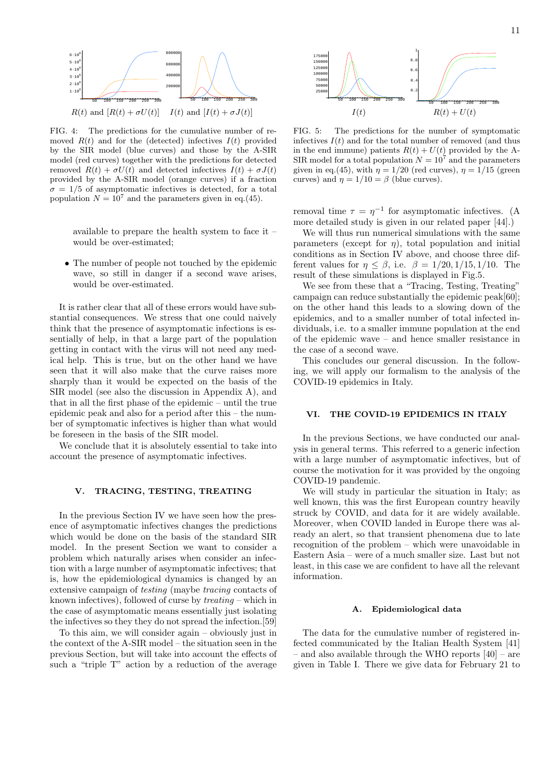

FIG. 4: The predictions for the cumulative number of removed  $R(t)$  and for the (detected) infectives  $I(t)$  provided by the SIR model (blue curves) and those by the A-SIR model (red curves) together with the predictions for detected removed  $R(t) + \sigma U(t)$  and detected infectives  $I(t) + \sigma J(t)$ provided by the A-SIR model (orange curves) if a fraction  $\sigma = 1/5$  of asymptomatic infectives is detected, for a total population  $N = 10^7$  and the parameters given in eq.(45).

available to prepare the health system to face it – would be over-estimated;

*•* The number of people not touched by the epidemic wave, so still in danger if a second wave arises, would be over-estimated.

It is rather clear that all of these errors would have substantial consequences. We stress that one could naively think that the presence of asymptomatic infections is essentially of help, in that a large part of the population getting in contact with the virus will not need any medical help. This is true, but on the other hand we have seen that it will also make that the curve raises more sharply than it would be expected on the basis of the SIR model (see also the discussion in Appendix A), and that in all the first phase of the epidemic – until the true epidemic peak and also for a period after this – the number of symptomatic infectives is higher than what would be foreseen in the basis of the SIR model.

We conclude that it is absolutely essential to take into account the presence of asymptomatic infectives.

# **V. TRACING, TESTING, TREATING**

In the previous Section IV we have seen how the presence of asymptomatic infectives changes the predictions which would be done on the basis of the standard SIR model. In the present Section we want to consider a problem which naturally arises when consider an infection with a large number of asymptomatic infectives; that is, how the epidemiological dynamics is changed by an extensive campaign of *testing* (maybe *tracing* contacts of known infectives), followed of curse by *treating* – which in the case of asymptomatic means essentially just isolating the infectives so they they do not spread the infection.[59]

To this aim, we will consider again – obviously just in the context of the A-SIR model – the situation seen in the previous Section, but will take into account the effects of such a "triple T" action by a reduction of the average



FIG. 5: The predictions for the number of symptomatic infectives  $I(t)$  and for the total number of removed (and thus in the end immune) patients  $R(t) + U(t)$  provided by the A-SIR model for a total population  $N = 10^7$  and the parameters given in eq.(45), with  $\eta = 1/20$  (red curves),  $\eta = 1/15$  (green curves) and  $\eta = 1/10 = \beta$  (blue curves).

removal time  $\tau = \eta^{-1}$  for asymptomatic infectives. (A more detailed study is given in our related paper [44].)

We will thus run numerical simulations with the same parameters (except for  $\eta$ ), total population and initial conditions as in Section IV above, and choose three different values for  $\eta \leq \beta$ , i.e.  $\beta = 1/20, 1/15, 1/10$ . The result of these simulations is displayed in Fig.5.

We see from these that a "Tracing, Testing, Treating" campaign can reduce substantially the epidemic peak[60]; on the other hand this leads to a slowing down of the epidemics, and to a smaller number of total infected individuals, i.e. to a smaller immune population at the end of the epidemic wave – and hence smaller resistance in the case of a second wave.

This concludes our general discussion. In the following, we will apply our formalism to the analysis of the COVID-19 epidemics in Italy.

### **VI. THE COVID-19 EPIDEMICS IN ITALY**

In the previous Sections, we have conducted our analysis in general terms. This referred to a generic infection with a large number of asymptomatic infectives, but of course the motivation for it was provided by the ongoing COVID-19 pandemic.

We will study in particular the situation in Italy; as well known, this was the first European country heavily struck by COVID, and data for it are widely available. Moreover, when COVID landed in Europe there was already an alert, so that transient phenomena due to late recognition of the problem – which were unavoidable in Eastern Asia – were of a much smaller size. Last but not least, in this case we are confident to have all the relevant information.

#### **A. Epidemiological data**

The data for the cumulative number of registered infected communicated by the Italian Health System [41] – and also available through the WHO reports [40] – are given in Table I. There we give data for February 21 to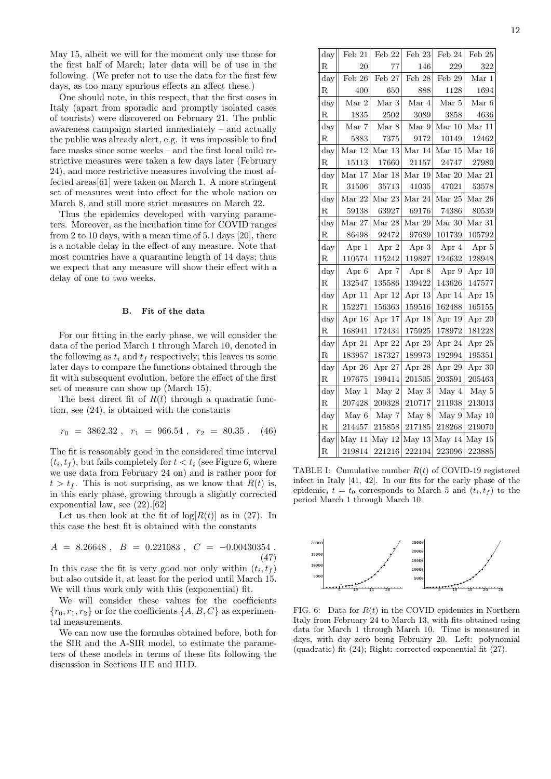May 15, albeit we will for the moment only use those for the first half of March; later data will be of use in the following. (We prefer not to use the data for the first few days, as too many spurious effects an affect these.)

One should note, in this respect, that the first cases in Italy (apart from sporadic and promptly isolated cases of tourists) were discovered on February 21. The public awareness campaign started immediately – and actually the public was already alert, e.g. it was impossible to find face masks since some weeks – and the first local mild restrictive measures were taken a few days later (February 24), and more restrictive measures involving the most affected areas[61] were taken on March 1. A more stringent set of measures went into effect for the whole nation on March 8, and still more strict measures on March 22.

Thus the epidemics developed with varying parameters. Moreover, as the incubation time for COVID ranges from 2 to 10 days, with a mean time of 5.1 days [20], there is a notable delay in the effect of any measure. Note that most countries have a quarantine length of 14 days; thus we expect that any measure will show their effect with a delay of one to two weeks.

# **B. Fit of the data**

For our fitting in the early phase, we will consider the data of the period March 1 through March 10, denoted in the following as  $t_i$  and  $t_f$  respectively; this leaves us some later days to compare the functions obtained through the fit with subsequent evolution, before the effect of the first set of measure can show up (March 15).

The best direct fit of  $R(t)$  through a quadratic function, see (24), is obtained with the constants

$$
r_0 = 3862.32 \; , \; r_1 = 966.54 \; , \; r_2 = 80.35 \; . \quad (46)
$$

The fit is reasonably good in the considered time interval  $(t_i, t_f)$ , but fails completely for  $t < t_i$  (see Figure 6, where we use data from February 24 on) and is rather poor for  $t > t_f$ . This is not surprising, as we know that  $R(t)$  is, in this early phase, growing through a slightly corrected exponential law, see (22).[62]

Let us then look at the fit of  $log[R(t)]$  as in (27). In this case the best fit is obtained with the constants

$$
A = 8.26648 , B = 0.221083 , C = -0.00430354 .
$$
\n(47)

In this case the fit is very good not only within  $(t_i, t_f)$ but also outside it, at least for the period until March 15. We will thus work only with this (exponential) fit.

We will consider these values for the coefficients  ${r_0, r_1, r_2}$  or for the coefficients  ${A, B, C}$  as experimental measurements.

We can now use the formulas obtained before, both for the SIR and the A-SIR model, to estimate the parameters of these models in terms of these fits following the discussion in Sections II E and III D.

| $\rm{day}$  | Feb 21   | Feb 22   | Feb $23$   | Feb 24         | Feb 25   |
|-------------|----------|----------|------------|----------------|----------|
| R           | 20       | 77       | 146        | 229            | 322      |
| day         | Feb $26$ | Feb 27   | Feb $28$   | Feb 29         | Mar 1    |
| $_{\rm R}$  | 400      | 650      | 888        | 1128           | 1694     |
| day         | Mar 2    | Mar $3$  | Mar 4      | $\rm{Mar}$ $5$ | Mar $6$  |
| R           | 1835     | 2502     | 3089       | 3858           | 4636     |
| day         | Mar 7    | Mar 8    | Mar 9      | Mar 10         | Mar 11   |
| $\rm R$     | 5883     | 7375     | 9172       | 10149          | 12462    |
| day         | Mar 12   | Mar 13   | Mar 14     | Mar 15         | Mar 16   |
| R           | 15113    | 17660    | 21157      | 24747          | 27980    |
| day         | Mar 17   | Mar 18   | Mar 19     | Mar 20         | Mar 21   |
| R           | 31506    | 35713    | 41035      | 47021          | 53578    |
| day         | Mar 22   | Mar 23   | Mar $24$   | Mar $25$       | Mar 26   |
| R           | 59138    | 63927    | 69176      | 74386          | 80539    |
| $\bf day$   | Mar 27   | Mar 28   | Mar 29     | Mar 30         | Mar 31   |
| R           | 86498    | 92472    | 97689      | 101739         | 105792   |
| $\rm day$   | Apr 1    | Apr 2    | Apr 3      | Apr 4          | Apr 5    |
| $\rm R$     | 110574   | 115242   | 119827     | 124632         | 128948   |
| day         | Apr 6    | Apr 7    | Apr 8      | Apr 9          | Apr $10$ |
| R           | 132547   | 135586   | 139422     | 143626         | 147577   |
| day         | Apr 11   | Apr $12$ | Apr 13     | Apr 14         | Apr $15$ |
| R           | 152271   | 156363   | 159516     | 162488         | 165155   |
| day         | Apr 16   | Apr 17   | Apr 18     | Apr 19         | Apr 20   |
| $_{\rm R}$  | 168941   | 172434   | 175925     | 178972         | 181228   |
| $\rm day$   | Apr 21   | Apr 22   | Apr 23     | Apr 24         | Apr 25   |
| R           | 183957   | 187327   | 189973     | 192994         | 195351   |
| day         | Apr 26   | Apr 27   | Apr 28     | Apr 29         | Apr 30   |
| $\rm R$     | 197675   | 199414   | 201505     | 203591         | 205463   |
| day         | May 1    | May $2$  | May 3      | May 4          | May 5    |
| $_{\rm R}$  | 207428   | 209328   | 210717     | 211938         | 213013   |
| day         | May 6    | May 7    | May 8      | May 9          | May 10   |
| $\rm R$     | 214457   | 215858   | $217185\,$ | 218268         | 219070   |
| day         | May 11   | May $12$ | May $13$   | May 14         | May 15   |
| $\mathbf R$ | 219814   | 221216   | 222104     | 223096         | 223885   |

TABLE I: Cumulative number *R*(*t*) of COVID-19 registered infect in Italy [41, 42]. In our fits for the early phase of the epidemic,  $t = t_0$  corresponds to March 5 and  $(t_i, t_f)$  to the period March 1 through March 10.



FIG. 6: Data for *R*(*t*) in the COVID epidemics in Northern Italy from February 24 to March 13, with fits obtained using data for March 1 through March 10. Time is measured in days, with day zero being February 20. Left: polynomial (quadratic) fit (24); Right: corrected exponential fit (27).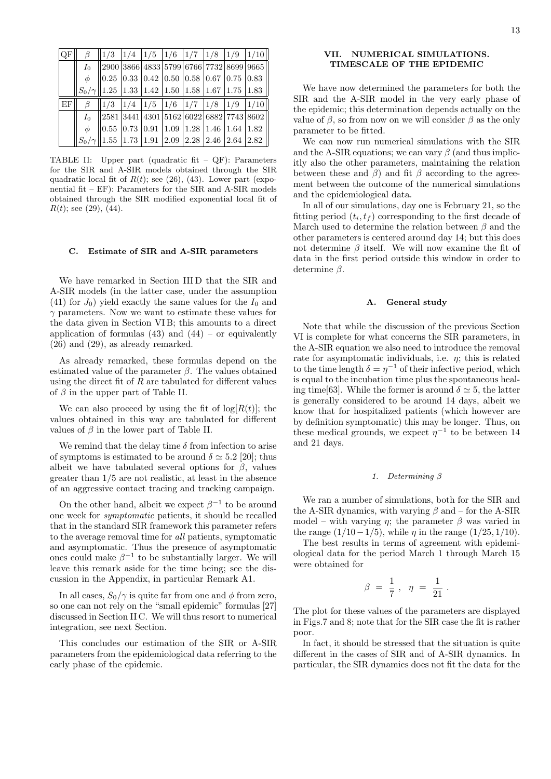| <b>OF</b> | B      | $\ 1/3\ 1/4\ 1/5\ 1/6\ 1/7\ 1/8\ 1/9\ 1/10\ $                                                                                           |  |  |  |                                                          |
|-----------|--------|-----------------------------------------------------------------------------------------------------------------------------------------|--|--|--|----------------------------------------------------------|
|           |        | $I_0$   2900 3866 4833 5799 6766 7732 8699 9665                                                                                         |  |  |  |                                                          |
|           | $\phi$ | $\parallel$ 0.25 $\parallel$ 0.33 $\parallel$ 0.42 $\parallel$ 0.50 $\parallel$ 0.58 $\parallel$ 0.67 $\parallel$ 0.75 $\parallel$ 0.83 |  |  |  |                                                          |
|           |        | $S_0/\gamma$ 1.25 1.33 1.42 1.50 1.58 1.67 1.75 1.83                                                                                    |  |  |  |                                                          |
| EF        |        |                                                                                                                                         |  |  |  |                                                          |
|           |        |                                                                                                                                         |  |  |  | $\beta$   1/3   1/4   1/5   1/6   1/7   1/8   1/9   1/10 |
|           |        | $I_0$   2581   3441   4301   5162   6022   6882   7743   8602                                                                           |  |  |  |                                                          |
|           | $\phi$ | $\parallel$ 0.55 $\mid$ 0.73 $\mid$ 0.91 $\mid$ 1.09 $\mid$ 1.28 $\mid$ 1.46 $\mid$ 1.64 $\mid$ 1.82                                    |  |  |  |                                                          |

TABLE II: Upper part (quadratic fit – QF): Parameters for the SIR and A-SIR models obtained through the SIR quadratic local fit of  $R(t)$ ; see (26), (43). Lower part (exponential fit – EF): Parameters for the SIR and A-SIR models obtained through the SIR modified exponential local fit of  $R(t)$ ; see (29), (44).

# **C. Estimate of SIR and A-SIR parameters**

We have remarked in Section III D that the SIR and A-SIR models (in the latter case, under the assumption  $(41)$  for  $J_0$ ) yield exactly the same values for the  $I_0$  and *γ* parameters. Now we want to estimate these values for the data given in Section VI B; this amounts to a direct application of formulas  $(43)$  and  $(44)$  – or equivalently (26) and (29), as already remarked.

As already remarked, these formulas depend on the estimated value of the parameter *β*. The values obtained using the direct fit of *R* are tabulated for different values of  $\beta$  in the upper part of Table II.

We can also proceed by using the fit of  $log[R(t)]$ ; the values obtained in this way are tabulated for different values of  $\beta$  in the lower part of Table II.

We remind that the delay time  $\delta$  from infection to arise of symptoms is estimated to be around  $\delta \simeq 5.2$  [20]; thus albeit we have tabulated several options for  $\beta$ , values greater than 1*/*5 are not realistic, at least in the absence of an aggressive contact tracing and tracking campaign.

On the other hand, albeit we expect  $\beta^{-1}$  to be around one week for *symptomatic* patients, it should be recalled that in the standard SIR framework this parameter refers to the average removal time for *all* patients, symptomatic and asymptomatic. Thus the presence of asymptomatic ones could make  $\beta^{-1}$  to be substantially larger. We will leave this remark aside for the time being; see the discussion in the Appendix, in particular Remark A1.

In all cases,  $S_0/\gamma$  is quite far from one and  $\phi$  from zero, so one can not rely on the "small epidemic" formulas [27] discussed in Section II C. We will thus resort to numerical integration, see next Section.

This concludes our estimation of the SIR or A-SIR parameters from the epidemiological data referring to the early phase of the epidemic.

# **VII. NUMERICAL SIMULATIONS. TIMESCALE OF THE EPIDEMIC**

We have now determined the parameters for both the SIR and the A-SIR model in the very early phase of the epidemic; this determination depends actually on the value of  $\beta$ , so from now on we will consider  $\beta$  as the only parameter to be fitted.

We can now run numerical simulations with the SIR and the A-SIR equations; we can vary  $\beta$  (and thus implicitly also the other parameters, maintaining the relation between these and  $\beta$ ) and fit  $\beta$  according to the agreement between the outcome of the numerical simulations and the epidemiological data.

In all of our simulations, day one is February 21, so the fitting period  $(t_i, t_f)$  corresponding to the first decade of March used to determine the relation between *β* and the other parameters is centered around day 14; but this does not determine *β* itself. We will now examine the fit of data in the first period outside this window in order to determine *β*.

#### **A. General study**

Note that while the discussion of the previous Section VI is complete for what concerns the SIR parameters, in the A-SIR equation we also need to introduce the removal rate for asymptomatic individuals, i.e. *η*; this is related to the time length  $\delta = \eta^{-1}$  of their infective period, which is equal to the incubation time plus the spontaneous healing time[63]. While the former is around  $\delta \simeq 5$ , the latter is generally considered to be around 14 days, albeit we know that for hospitalized patients (which however are by definition symptomatic) this may be longer. Thus, on these medical grounds, we expect  $\eta^{-1}$  to be between 14 and 21 days.

#### *1. Determining β*

We ran a number of simulations, both for the SIR and the A-SIR dynamics, with varying *β* and – for the A-SIR model – with varying  $\eta$ ; the parameter  $\beta$  was varied in the range  $(1/10-1/5)$ , while *η* in the range  $(1/25, 1/10)$ .

The best results in terms of agreement with epidemiological data for the period March 1 through March 15 were obtained for

$$
\beta\ =\ \frac{1}{7}\ ,\ \ \eta\ =\ \frac{1}{21}\ .
$$

The plot for these values of the parameters are displayed in Figs.7 and 8; note that for the SIR case the fit is rather poor.

In fact, it should be stressed that the situation is quite different in the cases of SIR and of A-SIR dynamics. In particular, the SIR dynamics does not fit the data for the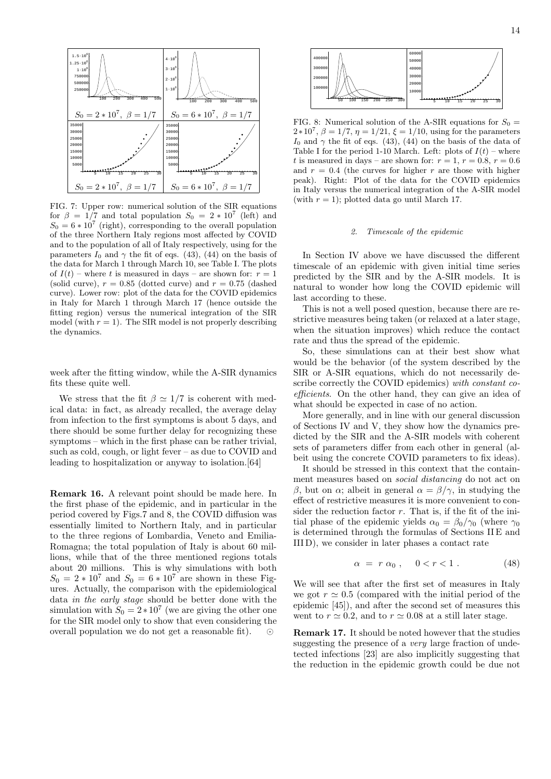

FIG. 7: Upper row: numerical solution of the SIR equations for  $\beta = 1/7$  and total population  $S_0 = 2 \times 10^7$  (left) and  $S_0 = 6 * 10^7$  (right), corresponding to the overall population of the three Northern Italy regions most affected by COVID and to the population of all of Italy respectively, using for the parameters  $I_0$  and  $\gamma$  the fit of eqs. (43), (44) on the basis of the data for March 1 through March 10, see Table I. The plots of  $I(t)$  – where t is measured in days – are shown for:  $r = 1$ (solid curve),  $r = 0.85$  (dotted curve) and  $r = 0.75$  (dashed curve). Lower row: plot of the data for the COVID epidemics in Italy for March 1 through March 17 (hence outside the fitting region) versus the numerical integration of the SIR model (with  $r = 1$ ). The SIR model is not properly describing the dynamics.

week after the fitting window, while the A-SIR dynamics fits these quite well.

We stress that the fit  $\beta \simeq 1/7$  is coherent with medical data: in fact, as already recalled, the average delay from infection to the first symptoms is about 5 days, and there should be some further delay for recognizing these symptoms – which in the first phase can be rather trivial, such as cold, cough, or light fever – as due to COVID and leading to hospitalization or anyway to isolation.[64]

**Remark 16.** A relevant point should be made here. In the first phase of the epidemic, and in particular in the period covered by Figs.7 and 8, the COVID diffusion was essentially limited to Northern Italy, and in particular to the three regions of Lombardia, Veneto and Emilia-Romagna; the total population of Italy is about 60 millions, while that of the three mentioned regions totals about 20 millions. This is why simulations with both  $S_0 = 2 * 10^7$  and  $S_0 = 6 * 10^7$  are shown in these Figures. Actually, the comparison with the epidemiological data *in the early stage* should be better done with the simulation with  $S_0 = 2 \times 10^7$  (we are giving the other one for the SIR model only to show that even considering the overall population we do not get a reasonable fit). *⊙*



FIG. 8: Numerical solution of the A-SIR equations for  $S_0$ <sup>2</sup>*∗*10<sup>7</sup> , *β* = 1*/*7, *η* = 1*/*21, *ξ* = 1*/*10, using for the parameters *I*<sub>0</sub> and  $\gamma$  the fit of eqs. (43), (44) on the basis of the data of Table I for the period 1-10 March. Left: plots of  $I(t)$  – where *t* is measured in days – are shown for:  $r = 1$ ,  $r = 0.8$ ,  $r = 0.6$ and  $r = 0.4$  (the curves for higher  $r$  are those with higher peak). Right: Plot of the data for the COVID epidemics in Italy versus the numerical integration of the A-SIR model (with  $r = 1$ ); plotted data go until March 17.

#### *2. Timescale of the epidemic*

In Section IV above we have discussed the different timescale of an epidemic with given initial time series predicted by the SIR and by the A-SIR models. It is natural to wonder how long the COVID epidemic will last according to these.

This is not a well posed question, because there are restrictive measures being taken (or relaxed at a later stage, when the situation improves) which reduce the contact rate and thus the spread of the epidemic.

So, these simulations can at their best show what would be the behavior (of the system described by the SIR or A-SIR equations, which do not necessarily describe correctly the COVID epidemics) *with constant coefficients*. On the other hand, they can give an idea of what should be expected in case of no action.

More generally, and in line with our general discussion of Sections IV and V, they show how the dynamics predicted by the SIR and the A-SIR models with coherent sets of parameters differ from each other in general (albeit using the concrete COVID parameters to fix ideas).

It should be stressed in this context that the containment measures based on *social distancing* do not act on *β*, but on *α*; albeit in general *α* = *β/γ*, in studying the effect of restrictive measures it is more convenient to consider the reduction factor *r*. That is, if the fit of the initial phase of the epidemic yields  $\alpha_0 = \beta_0/\gamma_0$  (where  $\gamma_0$ is determined through the formulas of Sections II E and III D), we consider in later phases a contact rate

$$
\alpha = r \alpha_0 , \quad 0 < r < 1 . \tag{48}
$$

We will see that after the first set of measures in Italy we got  $r \approx 0.5$  (compared with the initial period of the epidemic [45]), and after the second set of measures this went to  $r \approx 0.2$ , and to  $r \approx 0.08$  at a still later stage.

**Remark 17.** It should be noted however that the studies suggesting the presence of a *very* large fraction of undetected infections [23] are also implicitly suggesting that the reduction in the epidemic growth could be due not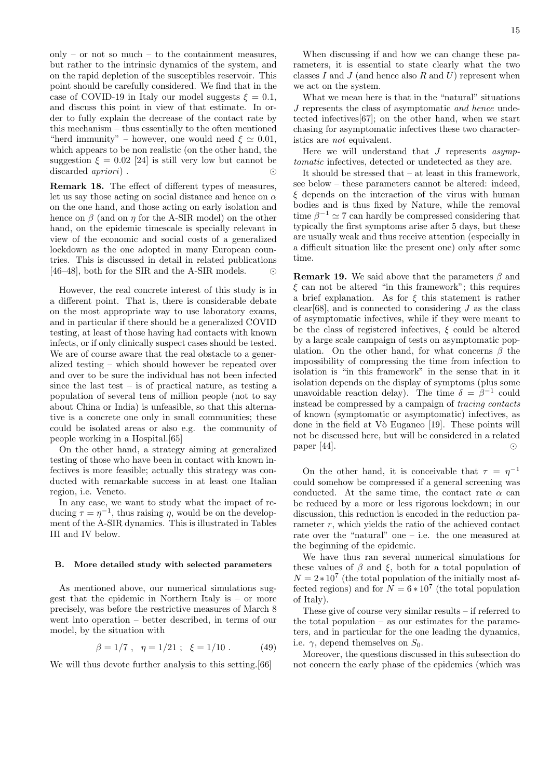only – or not so much – to the containment measures, but rather to the intrinsic dynamics of the system, and on the rapid depletion of the susceptibles reservoir. This point should be carefully considered. We find that in the case of COVID-19 in Italy our model suggests  $\xi = 0.1$ , and discuss this point in view of that estimate. In order to fully explain the decrease of the contact rate by this mechanism – thus essentially to the often mentioned "herd immunity" – however, one would need  $\xi \simeq 0.01$ , which appears to be non realistic (on the other hand, the suggestion  $\xi = 0.02$  [24] is still very low but cannot be discarded *apriori*) . *⊙*

**Remark 18.** The effect of different types of measures, let us say those acting on social distance and hence on *α* on the one hand, and those acting on early isolation and hence on *β* (and on *η* for the A-SIR model) on the other hand, on the epidemic timescale is specially relevant in view of the economic and social costs of a generalized lockdown as the one adopted in many European countries. This is discussed in detail in related publications [46–48], both for the SIR and the A-SIR models. *⊙*

However, the real concrete interest of this study is in a different point. That is, there is considerable debate on the most appropriate way to use laboratory exams, and in particular if there should be a generalized COVID testing, at least of those having had contacts with known infects, or if only clinically suspect cases should be tested. We are of course aware that the real obstacle to a generalized testing – which should however be repeated over and over to be sure the individual has not been infected since the last test – is of practical nature, as testing a population of several tens of million people (not to say about China or India) is unfeasible, so that this alternative is a concrete one only in small communities; these could be isolated areas or also e.g. the community of people working in a Hospital.[65]

On the other hand, a strategy aiming at generalized testing of those who have been in contact with known infectives is more feasible; actually this strategy was conducted with remarkable success in at least one Italian region, i.e. Veneto.

In any case, we want to study what the impact of reducing  $\tau = \eta^{-1}$ , thus raising  $\eta$ , would be on the development of the A-SIR dynamics. This is illustrated in Tables III and IV below.

#### **B. More detailed study with selected parameters**

As mentioned above, our numerical simulations suggest that the epidemic in Northern Italy is – or more precisely, was before the restrictive measures of March 8 went into operation – better described, in terms of our model, by the situation with

$$
\beta = 1/7 \ , \ \eta = 1/21 \ ; \ \xi = 1/10 \ . \tag{49}
$$

We will thus devote further analysis to this setting.<sup>[66]</sup>

When discussing if and how we can change these parameters, it is essential to state clearly what the two classes *I* and *J* (and hence also *R* and *U*) represent when we act on the system.

What we mean here is that in the "natural" situations *J* represents the class of asymptomatic *and hence* undetected infectives[67]; on the other hand, when we start chasing for asymptomatic infectives these two characteristics are *not* equivalent.

Here we will understand that *J* represents *asymptomatic* infectives, detected or undetected as they are.

It should be stressed that – at least in this framework, see below – these parameters cannot be altered: indeed, *ξ* depends on the interaction of the virus with human bodies and is thus fixed by Nature, while the removal time  $\beta^{-1} \simeq 7$  can hardly be compressed considering that typically the first symptoms arise after 5 days, but these are usually weak and thus receive attention (especially in a difficult situation like the present one) only after some time.

**Remark 19.** We said above that the parameters *β* and *ξ* can not be altered "in this framework"; this requires a brief explanation. As for *ξ* this statement is rather clear<sup>[68]</sup>, and is connected to considering  $J$  as the class of asymptomatic infectives, while if they were meant to be the class of registered infectives, *ξ* could be altered by a large scale campaign of tests on asymptomatic population. On the other hand, for what concerns *β* the impossibility of compressing the time from infection to isolation is "in this framework" in the sense that in it isolation depends on the display of symptoms (plus some unavoidable reaction delay). The time  $\delta = \beta^{-1}$  could instead be compressed by a campaign of *tracing contacts* of known (symptomatic or asymptomatic) infectives, as done in the field at Vò Euganeo [19]. These points will not be discussed here, but will be considered in a related paper [44]. *⊙*

On the other hand, it is conceivable that  $\tau = \eta^{-1}$ could somehow be compressed if a general screening was conducted. At the same time, the contact rate  $\alpha$  can be reduced by a more or less rigorous lockdown; in our discussion, this reduction is encoded in the reduction parameter *r*, which yields the ratio of the achieved contact rate over the "natural" one – i.e. the one measured at the beginning of the epidemic.

We have thus ran several numerical simulations for these values of  $\beta$  and  $\xi$ , both for a total population of  $N = 2 \times 10^7$  (the total population of the initially most affected regions) and for  $N = 6 * 10^7$  (the total population of Italy).

These give of course very similar results – if referred to the total population  $-$  as our estimates for the parameters, and in particular for the one leading the dynamics, i.e.  $\gamma$ , depend themselves on  $S_0$ .

Moreover, the questions discussed in this subsection do not concern the early phase of the epidemics (which was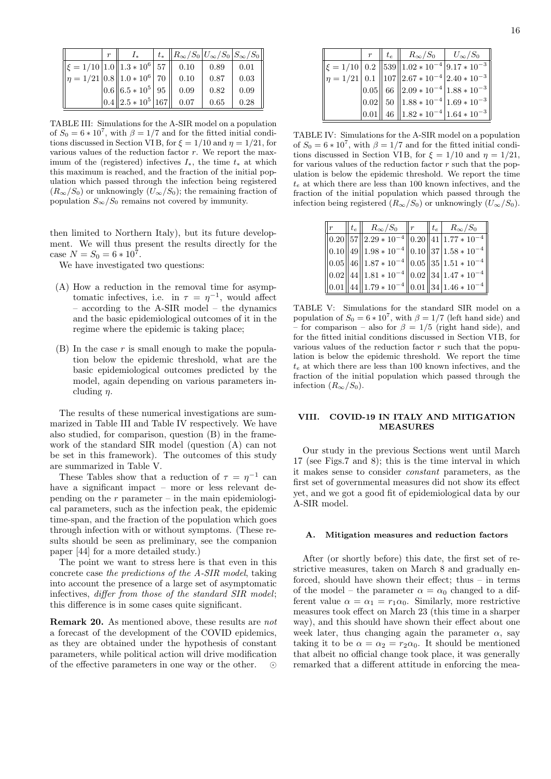|                                             | r |                                           | $t_* \ R_{\infty}/S_0 U_{\infty}/S_0 S_{\infty}/S_0\ $ |      |      |
|---------------------------------------------|---|-------------------------------------------|--------------------------------------------------------|------|------|
| $\ \xi = 1/10 \,  1.0\  1.3 * 10^6   57 \ $ |   |                                           | 0.10                                                   | 0.89 | 0.01 |
| $\ \eta=1/21 0.8\ 1.0*10^6\ 70\ $           |   |                                           | 0.10                                                   | 0.87 | 0.03 |
|                                             |   | $\ 0.6\ $ 6.5 $\ast$ 10 <sup>5</sup>   95 | 0.09                                                   | 0.82 | 0.09 |
|                                             |   | $ 0.4   2.5 * 10^5   167 $                | 0.07                                                   | 0.65 | 0.28 |

TABLE III: Simulations for the A-SIR model on a population of  $S_0 = 6 * 10^7$ , with  $\beta = 1/7$  and for the fitted initial conditions discussed in Section VIB, for  $\xi = 1/10$  and  $\eta = 1/21$ , for various values of the reduction factor *r*. We report the maximum of the (registered) infectives *I∗*, the time *t<sup>∗</sup>* at which this maximum is reached, and the fraction of the initial population which passed through the infection being registered  $(R_{\infty}/S_0)$  or unknowingly  $(U_{\infty}/S_0)$ ; the remaining fraction of population  $S_{\infty}/S_0$  remains not covered by immunity.

then limited to Northern Italy), but its future development. We will thus present the results directly for the case  $N = S_0 = 6 * 10^7$ .

We have investigated two questions:

- (A) How a reduction in the removal time for asymptomatic infectives, i.e. in  $\tau = \eta^{-1}$ , would affect – according to the A-SIR model – the dynamics and the basic epidemiological outcomes of it in the regime where the epidemic is taking place;
- (B) In the case *r* is small enough to make the population below the epidemic threshold, what are the basic epidemiological outcomes predicted by the model, again depending on various parameters including *η*.

The results of these numerical investigations are summarized in Table III and Table IV respectively. We have also studied, for comparison, question (B) in the framework of the standard SIR model (question (A) can not be set in this framework). The outcomes of this study are summarized in Table V.

These Tables show that a reduction of  $\tau = \eta^{-1}$  can have a significant impact – more or less relevant depending on the  $r$  parameter – in the main epidemiological parameters, such as the infection peak, the epidemic time-span, and the fraction of the population which goes through infection with or without symptoms. (These results should be seen as preliminary, see the companion paper [44] for a more detailed study.)

The point we want to stress here is that even in this concrete case *the predictions of the A-SIR model*, taking into account the presence of a large set of asymptomatic infectives, *differ from those of the standard SIR model*; this difference is in some cases quite significant.

**Remark 20.** As mentioned above, these results are *not* a forecast of the development of the COVID epidemics, as they are obtained under the hypothesis of constant parameters, while political action will drive modification of the effective parameters in one way or the other.

| $r_{\parallel}$ | $t_e$ | $R_{\infty}/S_0$   $U_{\infty}/S_0$ |                                                          |
|-----------------|-------|-------------------------------------|----------------------------------------------------------|
|                 |       |                                     | $\ \xi=1/10\ $ 0.2 $\ 539\ 1.02*10^{-4}\ 9.17*10^{-3}\ $ |
|                 |       |                                     | $\ \eta=1/21\ 0.1\ 107\ 2.67*10^{-4}\ 2.40*10^{-3}\ $    |
|                 |       |                                     | $\ 0.05\ $ 66 $\ 2.09 * 10^{-4}\ 1.88 * 10^{-3}\ $       |
|                 |       |                                     | $\ 0.02\ $ 50 $\ 1.88 * 10^{-4}  1.69 * 10^{-3} \ $      |
|                 |       |                                     | $\ 0.01\ $ 46 $\ 1.82 * 10^{-4}\ 1.64 * 10^{-3}\ $       |

TABLE IV: Simulations for the A-SIR model on a population of  $S_0 = 6 * 10^7$ , with  $\beta = 1/7$  and for the fitted initial conditions discussed in Section VIB, for  $\xi = 1/10$  and  $\eta = 1/21$ , for various values of the reduction factor *r* such that the population is below the epidemic threshold. We report the time *t<sup>e</sup>* at which there are less than 100 known infectives, and the fraction of the initial population which passed through the infection being registered  $(R_{\infty}/S_0)$  or unknowingly  $(U_{\infty}/S_0)$ .

| $\parallel t_e \parallel$ | $R_{\infty}/S_0$   r                                     |  | $\parallel t_e \parallel R_{\infty}/S_0$ |
|---------------------------|----------------------------------------------------------|--|------------------------------------------|
|                           | $\ 0.20\ 57\ 2.29 * 10^{-4}\ 0.20\ 41\ 1.77 * 10^{-4}$   |  |                                          |
|                           | $\ 0.10\ 49\ 1.98 * 10^{-4}\ 0.10\ 37 1.58 * 10^{-4}$    |  |                                          |
|                           | $\ 0.05\ 46\ 1.87*10^{-4}\ 0.05\ 35 1.51*10^{-4}$        |  |                                          |
|                           | $\ 0.02\ 44\ 1.81 * 10^{-4}\ 0.02\ 34\ 1.47 * 10^{-4}$   |  |                                          |
|                           | $\ 0.01\ 44\ 1.79 * 10^{-4}\ 0.01\ 34\ 1.46 * 10^{-4}\ $ |  |                                          |

TABLE V: Simulations for the standard SIR model on a population of  $S_0 = 6 * 10^7$ , with  $\beta = 1/7$  (left hand side) and – for comparison – also for  $\beta = 1/5$  (right hand side), and for the fitted initial conditions discussed in Section VI B, for various values of the reduction factor *r* such that the population is below the epidemic threshold. We report the time *t<sup>e</sup>* at which there are less than 100 known infectives, and the fraction of the initial population which passed through the infection  $(R_\infty/S_0)$ .

## **VIII. COVID-19 IN ITALY AND MITIGATION MEASURES**

Our study in the previous Sections went until March 17 (see Figs.7 and 8); this is the time interval in which it makes sense to consider *constant* parameters, as the first set of governmental measures did not show its effect yet, and we got a good fit of epidemiological data by our A-SIR model.

#### **A. Mitigation measures and reduction factors**

After (or shortly before) this date, the first set of restrictive measures, taken on March 8 and gradually enforced, should have shown their effect; thus – in terms of the model – the parameter  $\alpha = \alpha_0$  changed to a different value  $\alpha = \alpha_1 = r_1 \alpha_0$ . Similarly, more restrictive measures took effect on March 23 (this time in a sharper way), and this should have shown their effect about one week later, thus changing again the parameter  $\alpha$ , say taking it to be  $\alpha = \alpha_2 = r_2 \alpha_0$ . It should be mentioned that albeit no official change took place, it was generally remarked that a different attitude in enforcing the mea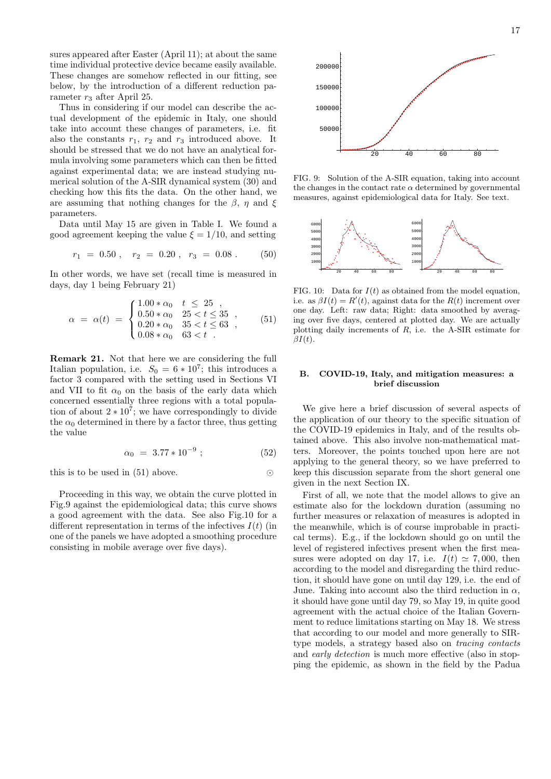sures appeared after Easter (April 11); at about the same time individual protective device became easily available. These changes are somehow reflected in our fitting, see below, by the introduction of a different reduction parameter  $r_3$  after April 25.

Thus in considering if our model can describe the actual development of the epidemic in Italy, one should take into account these changes of parameters, i.e. fit also the constants  $r_1$ ,  $r_2$  and  $r_3$  introduced above. It should be stressed that we do not have an analytical formula involving some parameters which can then be fitted against experimental data; we are instead studying numerical solution of the A-SIR dynamical system (30) and checking how this fits the data. On the other hand, we are assuming that nothing changes for the  $\beta$ ,  $\eta$  and  $\xi$ parameters.

Data until May 15 are given in Table I. We found a good agreement keeping the value  $\xi = 1/10$ , and setting

$$
r_1 = 0.50 \; , \quad r_2 = 0.20 \; , \quad r_3 = 0.08 \; . \tag{50}
$$

In other words, we have set (recall time is measured in days, day 1 being February 21)

$$
\alpha = \alpha(t) = \begin{cases} 1.00 * \alpha_0 & t \leq 25 \\ 0.50 * \alpha_0 & 25 < t \leq 35 \\ 0.20 * \alpha_0 & 35 < t \leq 63 \\ 0.08 * \alpha_0 & 63 < t \end{cases},
$$
(51)

**Remark 21.** Not that here we are considering the full Italian population, i.e.  $S_0 = 6 * 10^7$ ; this introduces a factor 3 compared with the setting used in Sections VI and VII to fit  $\alpha_0$  on the basis of the early data which concerned essentially three regions with a total population of about  $2 \times 10^7$ ; we have correspondingly to divide the  $\alpha_0$  determined in there by a factor three, thus getting the value

$$
\alpha_0 = 3.77 \times 10^{-9} ; \qquad (52)
$$

this is to be used in (51) above. *⊙*

Proceeding in this way, we obtain the curve plotted in Fig.9 against the epidemiological data; this curve shows a good agreement with the data. See also Fig.10 for a different representation in terms of the infectives *I*(*t*) (in one of the panels we have adopted a smoothing procedure consisting in mobile average over five days).



FIG. 9: Solution of the A-SIR equation, taking into account the changes in the contact rate  $\alpha$  determined by governmental measures, against epidemiological data for Italy. See text.



FIG. 10: Data for  $I(t)$  as obtained from the model equation. i.e. as  $\beta I(t) = R'(t)$ , against data for the  $R(t)$  increment over one day. Left: raw data; Right: data smoothed by averaging over five days, centered at plotted day. We are actually plotting daily increments of *R*, i.e. the A-SIR estimate for *βI*(*t*).

### **B. COVID-19, Italy, and mitigation measures: a brief discussion**

We give here a brief discussion of several aspects of the application of our theory to the specific situation of the COVID-19 epidemics in Italy, and of the results obtained above. This also involve non-mathematical matters. Moreover, the points touched upon here are not applying to the general theory, so we have preferred to keep this discussion separate from the short general one given in the next Section IX.

First of all, we note that the model allows to give an estimate also for the lockdown duration (assuming no further measures or relaxation of measures is adopted in the meanwhile, which is of course improbable in practical terms). E.g., if the lockdown should go on until the level of registered infectives present when the first measures were adopted on day 17, i.e.  $I(t) \approx 7,000$ , then according to the model and disregarding the third reduction, it should have gone on until day 129, i.e. the end of June. Taking into account also the third reduction in  $\alpha$ , it should have gone until day 79, so May 19, in quite good agreement with the actual choice of the Italian Government to reduce limitations starting on May 18. We stress that according to our model and more generally to SIRtype models, a strategy based also on *tracing contacts* and *early detection* is much more effective (also in stopping the epidemic, as shown in the field by the Padua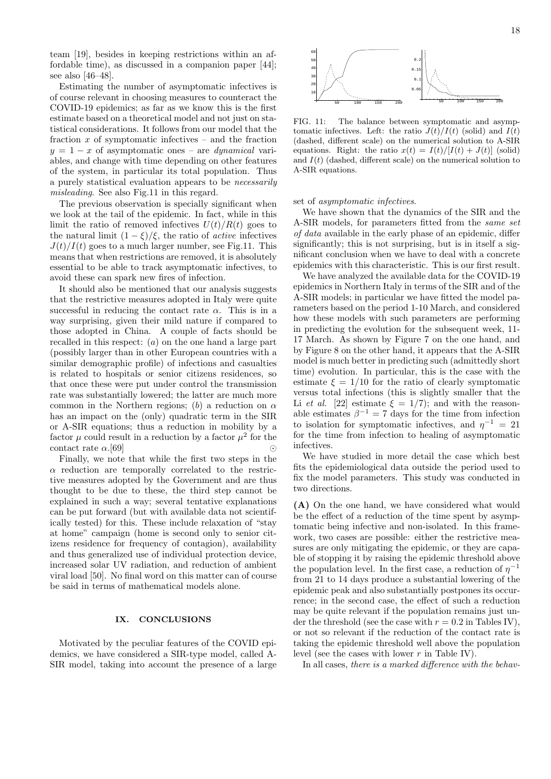team [19], besides in keeping restrictions within an affordable time), as discussed in a companion paper [44]; see also [46–48].

Estimating the number of asymptomatic infectives is of course relevant in choosing measures to counteract the COVID-19 epidemics; as far as we know this is the first estimate based on a theoretical model and not just on statistical considerations. It follows from our model that the fraction *x* of symptomatic infectives – and the fraction *y* = 1 *− x* of asymptomatic ones – are *dynamical* variables, and change with time depending on other features of the system, in particular its total population. Thus a purely statistical evaluation appears to be *necessarily misleading*. See also Fig.11 in this regard.

The previous observation is specially significant when we look at the tail of the epidemic. In fact, while in this limit the ratio of removed infectives  $U(t)/R(t)$  goes to the natural limit  $(1 - \xi)/\xi$ , the ratio of *active* infectives  $J(t)/I(t)$  goes to a much larger number, see Fig.11. This means that when restrictions are removed, it is absolutely essential to be able to track asymptomatic infectives, to avoid these can spark new fires of infection.

It should also be mentioned that our analysis suggests that the restrictive measures adopted in Italy were quite successful in reducing the contact rate  $\alpha$ . This is in a way surprising, given their mild nature if compared to those adopted in China. A couple of facts should be recalled in this respect: (*a*) on the one hand a large part (possibly larger than in other European countries with a similar demographic profile) of infections and casualties is related to hospitals or senior citizens residences, so that once these were put under control the transmission rate was substantially lowered; the latter are much more common in the Northern regions; (*b*) a reduction on *α* has an impact on the (only) quadratic term in the SIR or A-SIR equations; thus a reduction in mobility by a factor  $\mu$  could result in a reduction by a factor  $\mu^2$  for the contact rate  $\alpha$ .[69]  $\odot$ 

Finally, we note that while the first two steps in the *α* reduction are temporally correlated to the restrictive measures adopted by the Government and are thus thought to be due to these, the third step cannot be explained in such a way; several tentative explanations can be put forward (but with available data not scientifically tested) for this. These include relaxation of "stay at home" campaign (home is second only to senior citizens residence for frequency of contagion), availability and thus generalized use of individual protection device, increased solar UV radiation, and reduction of ambient viral load [50]. No final word on this matter can of course be said in terms of mathematical models alone.

#### **IX. CONCLUSIONS**

Motivated by the peculiar features of the COVID epidemics, we have considered a SIR-type model, called A-SIR model, taking into account the presence of a large



FIG. 11: The balance between symptomatic and asymptomatic infectives. Left: the ratio  $J(t)/I(t)$  (solid) and  $I(t)$ (dashed, different scale) on the numerical solution to A-SIR equations. Right: the ratio  $x(t) = I(t)/[I(t) + J(t)]$  (solid) and  $I(t)$  (dashed, different scale) on the numerical solution to A-SIR equations.

#### set of *asymptomatic infectives*.

We have shown that the dynamics of the SIR and the A-SIR models, for parameters fitted from the *same set of data* available in the early phase of an epidemic, differ significantly; this is not surprising, but is in itself a significant conclusion when we have to deal with a concrete epidemics with this characteristic. This is our first result.

We have analyzed the available data for the COVID-19 epidemics in Northern Italy in terms of the SIR and of the A-SIR models; in particular we have fitted the model parameters based on the period 1-10 March, and considered how these models with such parameters are performing in predicting the evolution for the subsequent week, 11- 17 March. As shown by Figure 7 on the one hand, and by Figure 8 on the other hand, it appears that the A-SIR model is much better in predicting such (admittedly short time) evolution. In particular, this is the case with the estimate  $\xi = 1/10$  for the ratio of clearly symptomatic versus total infections (this is slightly smaller that the Li *et al.* [22] estimate  $\xi = 1/7$ ; and with the reasonable estimates  $\beta^{-1} = 7$  days for the time from infection to isolation for symptomatic infectives, and  $\eta^{-1} = 21$ for the time from infection to healing of asymptomatic infectives.

We have studied in more detail the case which best fits the epidemiological data outside the period used to fix the model parameters. This study was conducted in two directions.

**(A)** On the one hand, we have considered what would be the effect of a reduction of the time spent by asymptomatic being infective and non-isolated. In this framework, two cases are possible: either the restrictive measures are only mitigating the epidemic, or they are capable of stopping it by raising the epidemic threshold above the population level. In the first case, a reduction of  $\eta^{-1}$ from 21 to 14 days produce a substantial lowering of the epidemic peak and also substantially postpones its occurrence; in the second case, the effect of such a reduction may be quite relevant if the population remains just under the threshold (see the case with  $r = 0.2$  in Tables IV), or not so relevant if the reduction of the contact rate is taking the epidemic threshold well above the population level (see the cases with lower *r* in Table IV).

In all cases, *there is a marked difference with the behav-*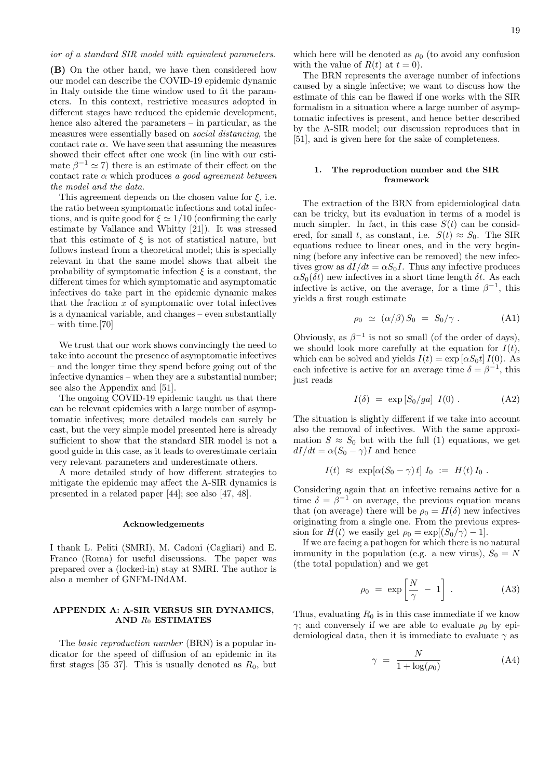**(B)** On the other hand, we have then considered how our model can describe the COVID-19 epidemic dynamic in Italy outside the time window used to fit the parameters. In this context, restrictive measures adopted in different stages have reduced the epidemic development, hence also altered the parameters – in particular, as the measures were essentially based on *social distancing*, the contact rate  $\alpha$ . We have seen that assuming the measures showed their effect after one week (in line with our estimate  $\beta^{-1} \simeq 7$ ) there is an estimate of their effect on the contact rate *α* which produces *a good agreement between the model and the data*.

This agreement depends on the chosen value for *ξ*, i.e. the ratio between symptomatic infections and total infections, and is quite good for  $\xi \simeq 1/10$  (confirming the early estimate by Vallance and Whitty [21]). It was stressed that this estimate of  $\xi$  is not of statistical nature, but follows instead from a theoretical model; this is specially relevant in that the same model shows that albeit the probability of symptomatic infection  $\xi$  is a constant, the different times for which symptomatic and asymptomatic infectives do take part in the epidemic dynamic makes that the fraction *x* of symptomatic over total infectives is a dynamical variable, and changes – even substantially – with time.[70]

We trust that our work shows convincingly the need to take into account the presence of asymptomatic infectives – and the longer time they spend before going out of the infective dynamics – when they are a substantial number; see also the Appendix and [51].

The ongoing COVID-19 epidemic taught us that there can be relevant epidemics with a large number of asymptomatic infectives; more detailed models can surely be cast, but the very simple model presented here is already sufficient to show that the standard SIR model is not a good guide in this case, as it leads to overestimate certain very relevant parameters and underestimate others.

A more detailed study of how different strategies to mitigate the epidemic may affect the A-SIR dynamics is presented in a related paper [44]; see also [47, 48].

#### **Acknowledgements**

I thank L. Peliti (SMRI), M. Cadoni (Cagliari) and E. Franco (Roma) for useful discussions. The paper was prepared over a (locked-in) stay at SMRI. The author is also a member of GNFM-INdAM.

# **APPENDIX A: A-SIR VERSUS SIR DYNAMICS, AND** *R*<sup>0</sup> **ESTIMATES**

The *basic reproduction number* (BRN) is a popular indicator for the speed of diffusion of an epidemic in its first stages [35–37]. This is usually denoted as  $R_0$ , but which here will be denoted as  $\rho_0$  (to avoid any confusion with the value of  $R(t)$  at  $t = 0$ ).

The BRN represents the average number of infections caused by a single infective; we want to discuss how the estimate of this can be flawed if one works with the SIR formalism in a situation where a large number of asymptomatic infectives is present, and hence better described by the A-SIR model; our discussion reproduces that in [51], and is given here for the sake of completeness.

# **1. The reproduction number and the SIR framework**

The extraction of the BRN from epidemiological data can be tricky, but its evaluation in terms of a model is much simpler. In fact, in this case  $S(t)$  can be considered, for small *t*, as constant, i.e.  $S(t) \approx S_0$ . The SIR equations reduce to linear ones, and in the very beginning (before any infective can be removed) the new infectives grow as  $dI/dt = \alpha S_0 I$ . Thus any infective produces  $\alpha S_0(\delta t)$  new infectives in a short time length  $\delta t$ . As each infective is active, on the average, for a time  $\beta^{-1}$ , this yields a first rough estimate

$$
\rho_0 \simeq \left( \alpha/\beta \right) S_0 = S_0/\gamma \ . \tag{A1}
$$

Obviously, as  $\beta^{-1}$  is not so small (of the order of days), we should look more carefully at the equation for  $I(t)$ , which can be solved and yields  $I(t) = \exp[\alpha S_0 t] I(0)$ . As each infective is active for an average time  $\delta = \beta^{-1}$ , this just reads

$$
I(\delta) = \exp\left[S_0/ga\right] I(0) . \tag{A2}
$$

The situation is slightly different if we take into account also the removal of infectives. With the same approximation  $S \approx S_0$  but with the full (1) equations, we get  $dI/dt = \alpha (S_0 - \gamma)I$  and hence

$$
I(t) \approx \exp[\alpha(S_0 - \gamma) t] I_0 := H(t) I_0.
$$

Considering again that an infective remains active for a time  $\delta = \beta^{-1}$  on average, the previous equation means that (on average) there will be  $\rho_0 = H(\delta)$  new infectives originating from a single one. From the previous expression for  $H(t)$  we easily get  $\rho_0 = \exp[(S_0/\gamma) - 1]$ .

If we are facing a pathogen for which there is no natural immunity in the population (e.g. a new virus),  $S_0 = N$ (the total population) and we get

$$
\rho_0 = \exp\left[\frac{N}{\gamma} - 1\right] \,. \tag{A3}
$$

Thus, evaluating  $R_0$  is in this case immediate if we know *γ*; and conversely if we are able to evaluate  $\rho_0$  by epidemiological data, then it is immediate to evaluate *γ* as

$$
\gamma = \frac{N}{1 + \log(\rho_0)} \tag{A4}
$$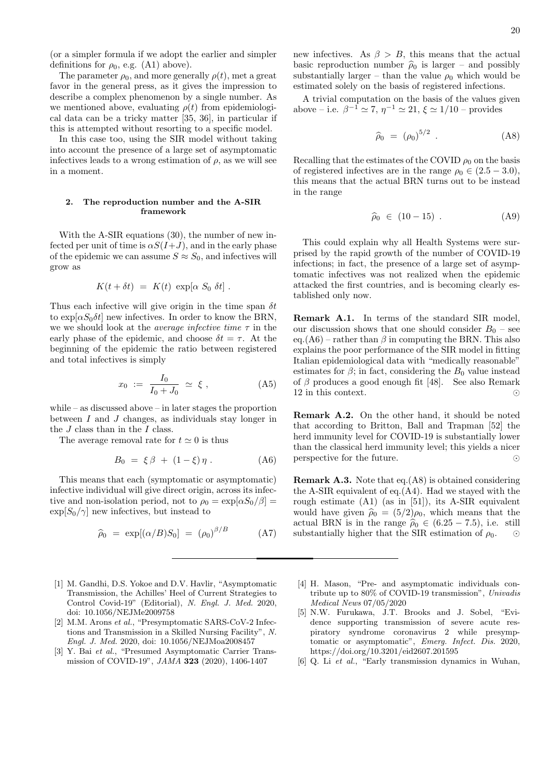(or a simpler formula if we adopt the earlier and simpler definitions for  $\rho_0$ , e.g. (A1) above).

The parameter  $\rho_0$ , and more generally  $\rho(t)$ , met a great favor in the general press, as it gives the impression to describe a complex phenomenon by a single number. As we mentioned above, evaluating  $\rho(t)$  from epidemiological data can be a tricky matter [35, 36], in particular if this is attempted without resorting to a specific model.

In this case too, using the SIR model without taking into account the presence of a large set of asymptomatic infectives leads to a wrong estimation of  $\rho$ , as we will see in a moment.

### **2. The reproduction number and the A-SIR framework**

With the A-SIR equations (30), the number of new infected per unit of time is  $\alpha S(I+J)$ , and in the early phase of the epidemic we can assume  $S \approx S_0$ , and infectives will grow as

$$
K(t + \delta t) = K(t) \exp[\alpha S_0 \delta t].
$$

Thus each infective will give origin in the time span *δt* to  $\exp[\alpha S_0 \delta t]$  new infectives. In order to know the BRN, we we should look at the *average infective time τ* in the early phase of the epidemic, and choose  $\delta t = \tau$ . At the beginning of the epidemic the ratio between registered and total infectives is simply

$$
x_0 \; := \; \frac{I_0}{I_0 + J_0} \; \simeq \; \xi \; , \tag{A5}
$$

while – as discussed above – in later stages the proportion between *I* and *J* changes, as individuals stay longer in the *J* class than in the *I* class.

The average removal rate for  $t \approx 0$  is thus

$$
B_0 = \xi \beta + (1 - \xi) \eta . \tag{A6}
$$

This means that each (symptomatic or asymptomatic) infective individual will give direct origin, across its infective and non-isolation period, not to  $\rho_0 = \exp[\alpha S_0/\beta]$  $\exp[S_0/\gamma]$  new infectives, but instead to

$$
\widehat{\rho}_0 = \exp[(\alpha/B)S_0] = (\rho_0)^{\beta/B} \tag{A7}
$$

- [1] M. Gandhi, D.S. Yokoe and D.V. Havlir, "Asymptomatic Transmission, the Achilles' Heel of Current Strategies to Control Covid-19" (Editorial), *N. Engl. J. Med.* 2020, doi: 10.1056/NEJMe2009758
- [2] M.M. Arons *et al.*, "Presymptomatic SARS-CoV-2 Infections and Transmission in a Skilled Nursing Facility", *N. Engl. J. Med.* 2020, doi: 10.1056/NEJMoa2008457
- [3] Y. Bai *et al.*, "Presumed Asymptomatic Carrier Transmission of COVID-19", *JAMA* **323** (2020), 1406-1407

new infectives. As  $\beta > B$ , this means that the actual basic reproduction number  $\hat{\rho}_0$  is larger – and possibly substantially larger – than the value  $\rho_0$  which would be estimated solely on the basis of registered infections.

A trivial computation on the basis of the values given above – i.e.  $\beta^{-1} \simeq 7$ ,  $\eta^{-1} \simeq 21$ ,  $\xi \simeq 1/10$  – provides

$$
\hat{\rho}_0 = (\rho_0)^{5/2} . \tag{A8}
$$

Recalling that the estimates of the COVID  $\rho_0$  on the basis of registered infectives are in the range  $\rho_0 \in (2.5 - 3.0)$ , this means that the actual BRN turns out to be instead in the range

$$
\widehat{\rho}_0 \in (10-15) . \tag{A9}
$$

This could explain why all Health Systems were surprised by the rapid growth of the number of COVID-19 infections; in fact, the presence of a large set of asymptomatic infectives was not realized when the epidemic attacked the first countries, and is becoming clearly established only now.

**Remark A.1.** In terms of the standard SIR model, our discussion shows that one should consider  $B_0$  – see eq.(A6) – rather than  $\beta$  in computing the BRN. This also explains the poor performance of the SIR model in fitting Italian epidemiological data with "medically reasonable" estimates for  $\beta$ ; in fact, considering the  $B_0$  value instead of *β* produces a good enough fit [48]. See also Remark 12 in this context. *⊙*

**Remark A.2.** On the other hand, it should be noted that according to Britton, Ball and Trapman [52] the herd immunity level for COVID-19 is substantially lower than the classical herd immunity level; this yields a nicer perspective for the future. *⊙*

**Remark A.3.** Note that eq.(A8) is obtained considering the A-SIR equivalent of eq.(A4). Had we stayed with the rough estimate (A1) (as in [51]), its A-SIR equivalent would have given  $\hat{\rho}_0 = (5/2)\rho_0$ , which means that the actual BRN is in the range  $\hat{\rho}_0 \in (6.25 - 7.5)$ , i.e. still<br>substantially higher that the SIR estimation of  $\rho_0$ . substantially higher that the SIR estimation of  $\rho_0$ .

- [4] H. Mason, "Pre- and asymptomatic individuals contribute up to 80% of COVID-19 transmission", *Univadis Medical News* 07/05/2020
- [5] N.W. Furukawa, J.T. Brooks and J. Sobel, "Evidence supporting transmission of severe acute respiratory syndrome coronavirus 2 while presymptomatic or asymptomatic", *Emerg. Infect. Dis.* 2020, https://doi.org/10.3201/eid2607.201595
- [6] Q. Li *et al.*, "Early transmission dynamics in Wuhan,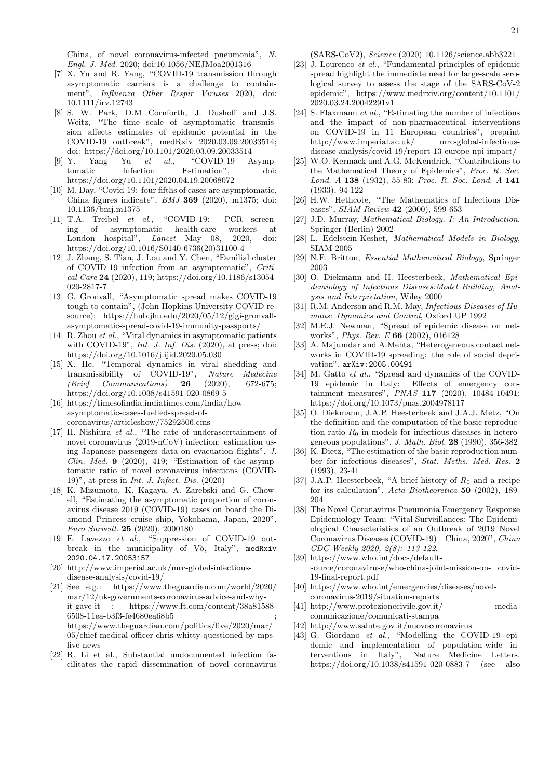China, of novel coronavirus-infected pneumonia", *N. Engl. J. Med.* 2020; doi:10.1056/NEJMoa2001316

- [7] X. Yu and R. Yang, "COVID-19 transmission through asymptomatic carriers is a challenge to containment", *Influenza Other Respir Viruses* 2020, doi: 10.1111/irv.12743
- [8] S. W. Park, D.M Cornforth, J. Dushoff and J.S. Weitz, "The time scale of asymptomatic transmission affects estimates of epidemic potential in the COVID-19 outbreak", medRxiv 2020.03.09.20033514; doi: https://doi.org/10.1101/2020.03.09.20033514
- [9] Y. Yang Yu *et al.*, "COVID-19 Asymptomatic Infection Estimation", doi: https://doi.org/10.1101/2020.04.19.20068072
- [10] M. Day, "Covid-19: four fifths of cases are asymptomatic, China figures indicate", *BMJ* **369** (2020), m1375; doi: 10.1136/bmj.m1375
- [11] T.A. Treibel *et al.*, "COVID-19: PCR screening of asymptomatic health-care workers at London hospital", *Lancet* May 08, 2020, doi: https://doi.org/10.1016/S0140-6736(20)31100-4
- [12] J. Zhang, S. Tian, J. Lou and Y. Chen, "Familial cluster of COVID-19 infection from an asymptomatic", *Critical Care* **24** (2020), 119; https://doi.org/10.1186/s13054- 020-2817-7
- [13] G. Gronvall, "Asymptomatic spread makes COVID-19 tough to contain", (John Hopkins University COVID resource); https://hub.jhu.edu/2020/05/12/gigi-gronvallasymptomatic-spread-covid-19-immunity-passports/
- [14] R. Zhou *et al.*, "Viral dynamics in asymptomatic patients with COVID-19", *Int. J. Inf. Dis.* (2020), at press; doi: https://doi.org/10.1016/j.ijid.2020.05.030
- [15] X. He, "Temporal dynamics in viral shedding and transmissibility of COVID-19", *Nature Medecine (Brief Communications)* **26** (2020), 672-675; https://doi.org/10.1038/s41591-020-0869-5
- [16] https://timesofindia.indiatimes.com/india/howasymptomatic-cases-fuelled-spread-ofcoronavirus/articleshow/75292506.cms
- [17] H. Nishiura *et al.*, "The rate of underascertainment of novel coronavirus (2019-nCoV) infection: estimation using Japanese passengers data on evacuation flights", *J. Clin. Med.* **9** (2020), 419; "Estimation of the asymptomatic ratio of novel coronavirus infections (COVID-19)", at press in *Int. J. Infect. Dis.* (2020)
- [18] K. Mizumoto, K. Kagaya, A. Zarebski and G. Chowell, "Estimating the asymptomatic proportion of coronavirus disease 2019 (COVID-19) cases on board the Diamond Princess cruise ship, Yokohama, Japan, 2020", *Euro Surveill.* **25** (2020), 2000180
- [19] E. Lavezzo *et al.*, "Suppression of COVID-19 outbreak in the municipality of Vò, Italy", medRxiv 2020.04.17.20053157
- [20] http://www.imperial.ac.uk/mrc-global-infectiousdisease-analysis/covid-19/
- [21] See e.g.: https://www.theguardian.com/world/2020/ mar/12/uk-governments-coronavirus-advice-and-whyit-gave-it ; https://www.ft.com/content/38a81588- 6508-11ea-b3f3-fe4680ea68b5 ; https://www.theguardian.com/politics/live/2020/mar/ 05/chief-medical-officer-chris-whitty-questioned-by-mpslive-news
- [22] R. Li et al., Substantial undocumented infection facilitates the rapid dissemination of novel coronavirus

(SARS-CoV2), *Science* (2020) 10.1126/science.abb3221

- [23] J. Lourenco *et al.*, "Fundamental principles of epidemic spread highlight the immediate need for large-scale serological survey to assess the stage of the SARS-CoV-2 epidemic", https://www.medrxiv.org/content/10.1101/ 2020.03.24.20042291v1
- [24] S. Flaxmann *et al.*, "Estimating the number of infections and the impact of non-pharmaceutical interventions on COVID-19 in 11 European countries", preprint http://www.imperial.ac.uk/ mrc-global-infectiousdisease-analysis/covid-19/report-13-europe-npi-impact/
- [25] W.O. Kermack and A.G. McKendrick, "Contributions to the Mathematical Theory of Epidemics", *Proc. R. Soc. Lond. A* **138** (1932), 55-83; *Proc. R. Soc. Lond. A* **141**  $(1933)$ , 94-122
- [26] H.W. Hethcote, "The Mathematics of Infectious Diseases", *SIAM Review* **42** (2000), 599-653
- [27] J.D. Murray, *Mathematical Biology. I: An Introduction*, Springer (Berlin) 2002
- [28] L. Edelstein-Keshet, *Mathematical Models in Biology*, SIAM 2005
- [29] N.F. Britton, *Essential Mathematical Biology*, Springer 2003
- [30] O. Diekmann and H. Heesterbeek, *Mathematical Epidemiology of Infectious Diseases:Model Building, Analysis and Interpretation*, Wiley 2000
- [31] R.M. Anderson and R.M. May, *Infectious Diseases of Humans: Dynamics and Control*, Oxford UP 1992
- [32] M.E.J. Newman, "Spread of epidemic disease on networks", *Phys. Rev. E* **66** (2002), 016128
- [33] A. Majumdar and A.Mehta, "Heterogeneous contact networks in COVID-19 spreading: the role of social deprivation", arXiv:2005.00491
- [34] M. Gatto *et al.*, "Spread and dynamics of the COVID-19 epidemic in Italy: Effects of emergency containment measures", *PNAS* **117** (2020), 10484-10491; https://doi.org/10.1073/pnas.2004978117
- [35] O. Diekmann, J.A.P. Heesterbeek and J.A.J. Metz, "On the definition and the computation of the basic reproduction ratio  $R_0$  in models for infectious diseases in heterogeneous populations", *J. Math. Biol.* **28** (1990), 356-382
- [36] K. Dietz, "The estimation of the basic reproduction number for infectious diseases", *Stat. Meths. Med. Res.* **2** (1993), 23-41
- [37] J.A.P. Heesterbeek, "A brief history of *R*<sup>0</sup> and a recipe for its calculation", *Acta Biotheoretica* **50** (2002), 189- 204
- [38] The Novel Coronavirus Pneumonia Emergency Response Epidemiology Team: "Vital Surveillances: The Epidemiological Characteristics of an Outbreak of 2019 Novel Coronavirus Diseases (COVID-19) – China, 2020", *China CDC Weekly 2020, 2(8): 113-122*.
- [39] https://www.who.int/docs/defaultsource/coronaviruse/who-china-joint-mission-on- covid-19-final-report.pdf
- [40] https://www.who.int/emergencies/diseases/novelcoronavirus-2019/situation-reports
- [41] http://www.protezionecivile.gov.it/ mediacomunicazione/comunicati-stampa
- [42] http://www.salute.gov.it/nuovocoronavirus
- [43] G. Giordano *et al.*, "Modelling the COVID-19 epidemic and implementation of population-wide interventions in Italy", Nature Medicine Letters, https://doi.org/10.1038/s41591-020-0883-7 (see also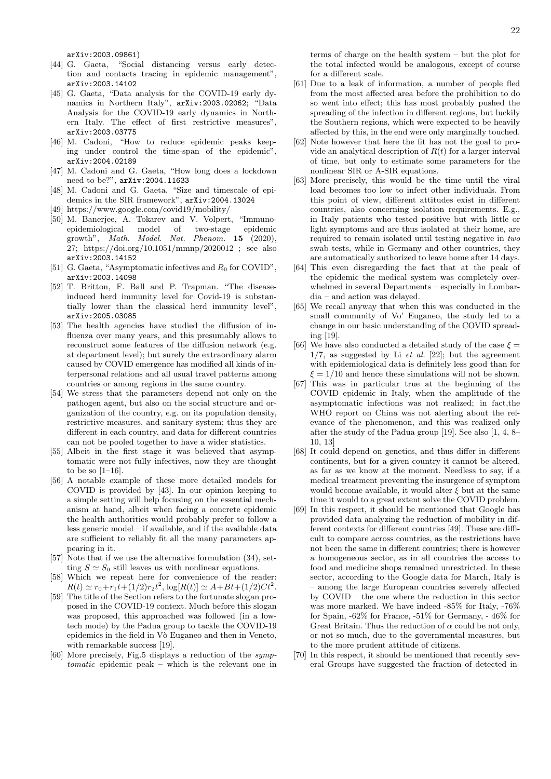arXiv:2003.09861)

- [44] G. Gaeta, "Social distancing versus early detection and contacts tracing in epidemic management", arXiv:2003.14102
- [45] G. Gaeta, "Data analysis for the COVID-19 early dynamics in Northern Italy", arXiv:2003.02062; "Data Analysis for the COVID-19 early dynamics in Northern Italy. The effect of first restrictive measures", arXiv:2003.03775
- [46] M. Cadoni, "How to reduce epidemic peaks keeping under control the time-span of the epidemic", arXiv:2004.02189
- [47] M. Cadoni and G. Gaeta, "How long does a lockdown need to be?", arXiv:2004.11633
- [48] M. Cadoni and G. Gaeta, "Size and timescale of epidemics in the SIR framework", arXiv:2004.13024
- [49] https://www.google.com/covid19/mobility/
- [50] M. Banerjee, A. Tokarev and V. Volpert, "Immunoepidemiological model of two-stage epidemic growth", *Math. Model. Nat. Phenom.* **15** (2020), 27; https://doi.org/10.1051/mmnp/2020012 ; see also arXiv:2003.14152
- [51] G. Gaeta, "Asymptomatic infectives and  $R_0$  for COVID", arXiv:2003.14098
- [52] T. Britton, F. Ball and P. Trapman. "The diseaseinduced herd immunity level for Covid-19 is substantially lower than the classical herd immunity level", arXiv:2005.03085
- [53] The health agencies have studied the diffusion of influenza over many years, and this presumably allows to reconstruct some features of the diffusion network (e.g. at department level); but surely the extraordinary alarm caused by COVID emergence has modified all kinds of interpersonal relations and all usual travel patterns among countries or among regions in the same country.
- [54] We stress that the parameters depend not only on the pathogen agent, but also on the social structure and organization of the country, e.g. on its population density, restrictive measures, and sanitary system; thus they are different in each country, and data for different countries can not be pooled together to have a wider statistics.
- [55] Albeit in the first stage it was believed that asymptomatic were not fully infectives, now they are thought to be so  $[1-16]$ .
- [56] A notable example of these more detailed models for COVID is provided by [43]. In our opinion keeping to a simple setting will help focusing on the essential mechanism at hand, albeit when facing a concrete epidemic the health authorities would probably prefer to follow a less generic model – if available, and if the available data are sufficient to reliably fit all the many parameters appearing in it.
- [57] Note that if we use the alternative formulation (34), setting  $S \simeq S_0$  still leaves us with nonlinear equations.
- [58] Which we repeat here for convenience of the reader:  $R(t) \simeq r_0 + r_1 t + (1/2) r_2 t^2$ ,  $\log[R(t)] \simeq A + Bt + (1/2)Ct^2$ .
- [59] The title of the Section refers to the fortunate slogan proposed in the COVID-19 context. Much before this slogan was proposed, this approached was followed (in a lowtech mode) by the Padua group to tackle the COVID-19 epidemics in the field in Vò Euganeo and then in Veneto, with remarkable success [19].
- [60] More precisely, Fig.5 displays a reduction of the *symptomatic* epidemic peak – which is the relevant one in

terms of charge on the health system – but the plot for the total infected would be analogous, except of course for a different scale.

- [61] Due to a leak of information, a number of people fled from the most affected area before the prohibition to do so went into effect; this has most probably pushed the spreading of the infection in different regions, but luckily the Southern regions, which were expected to be heavily affected by this, in the end were only marginally touched.
- [62] Note however that here the fit has not the goal to provide an analytical description of  $R(t)$  for a larger interval of time, but only to estimate some parameters for the nonlinear SIR or A-SIR equations.
- [63] More precisely, this would be the time until the viral load becomes too low to infect other individuals. From this point of view, different attitudes exist in different countries, also concerning isolation requirements. E.g., in Italy patients who tested positive but with little or light symptoms and are thus isolated at their home, are required to remain isolated until testing negative in *two* swab tests, while in Germany and other countries, they are automatically authorized to leave home after 14 days.
- [64] This even disregarding the fact that at the peak of the epidemic the medical system was completely overwhelmed in several Departments – especially in Lombardia – and action was delayed.
- [65] We recall anyway that when this was conducted in the small community of Vo' Euganeo, the study led to a change in our basic understanding of the COVID spreading [19].
- [66] We have also conducted a detailed study of the case  $\xi =$ 1*/*7, as suggested by Li *et al.* [22]; but the agreement with epidemiological data is definitely less good than for  $\xi = 1/10$  and hence these simulations will not be shown.
- [67] This was in particular true at the beginning of the COVID epidemic in Italy, when the amplitude of the asymptomatic infections was not realized; in fact,the WHO report on China was not alerting about the relevance of the phenomenon, and this was realized only after the study of the Padua group [19]. See also [1, 4, 8– 10, 13]
- [68] It could depend on genetics, and thus differ in different continents, but for a given country it cannot be altered, as far as we know at the moment. Needless to say, if a medical treatment preventing the insurgence of symptom would become available, it would alter  $\xi$  but at the same time it would to a great extent solve the COVID problem.
- [69] In this respect, it should be mentioned that Google has provided data analyzing the reduction of mobility in different contexts for different countries [49]. These are difficult to compare across countries, as the restrictions have not been the same in different countries; there is however a homogeneous sector, as in all countries the access to food and medicine shops remained unrestricted. In these sector, according to the Google data for March, Italy is – among the large European countries severely affected by COVID – the one where the reduction in this sector was more marked. We have indeed -85% for Italy, -76% for Spain, -62% for France, -51% for Germany, - 46% for Great Britain. Thus the reduction of  $\alpha$  could be not only, or not so much, due to the governmental measures, but to the more prudent attitude of citizens.
- [70] In this respect, it should be mentioned that recently several Groups have suggested the fraction of detected in-